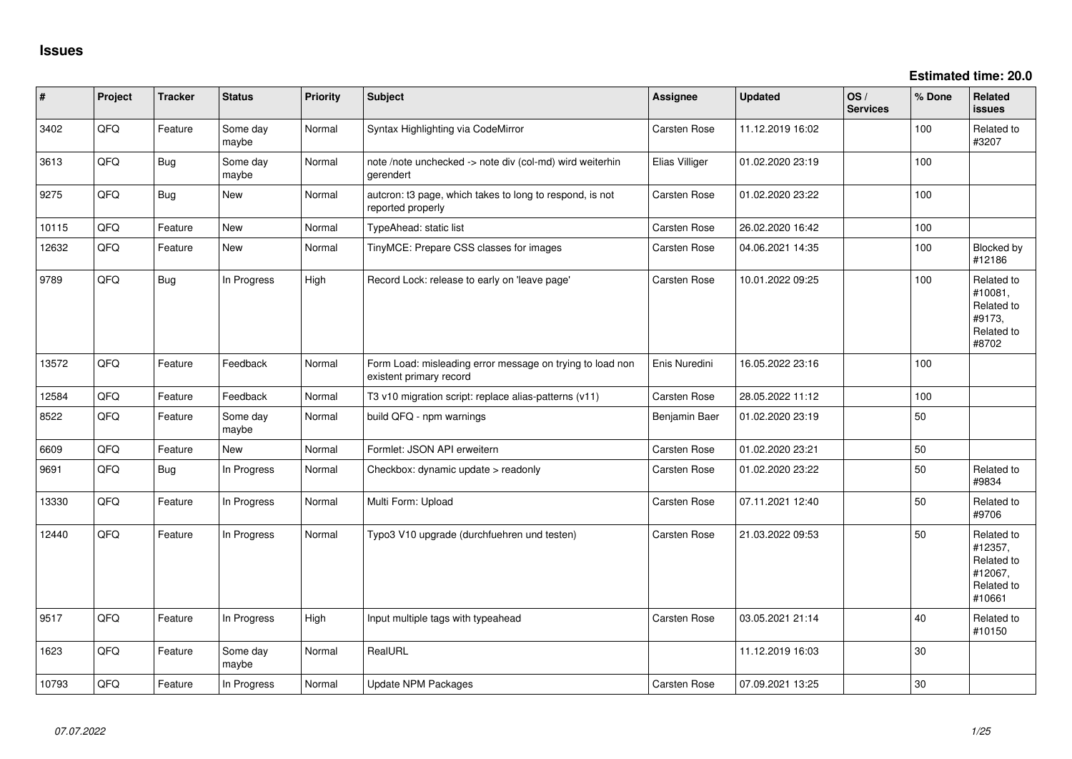| #     | Project | <b>Tracker</b> | <b>Status</b>     | <b>Priority</b> | <b>Subject</b>                                                                       | Assignee            | <b>Updated</b>   | OS/<br><b>Services</b> | % Done | Related<br><b>issues</b>                                               |
|-------|---------|----------------|-------------------|-----------------|--------------------------------------------------------------------------------------|---------------------|------------------|------------------------|--------|------------------------------------------------------------------------|
| 3402  | QFQ     | Feature        | Some day<br>maybe | Normal          | Syntax Highlighting via CodeMirror                                                   | Carsten Rose        | 11.12.2019 16:02 |                        | 100    | Related to<br>#3207                                                    |
| 3613  | QFQ     | Bug            | Some day<br>maybe | Normal          | note /note unchecked -> note div (col-md) wird weiterhin<br>gerendert                | Elias Villiger      | 01.02.2020 23:19 |                        | 100    |                                                                        |
| 9275  | QFQ     | <b>Bug</b>     | New               | Normal          | autcron: t3 page, which takes to long to respond, is not<br>reported properly        | Carsten Rose        | 01.02.2020 23:22 |                        | 100    |                                                                        |
| 10115 | QFQ     | Feature        | <b>New</b>        | Normal          | TypeAhead: static list                                                               | Carsten Rose        | 26.02.2020 16:42 |                        | 100    |                                                                        |
| 12632 | QFQ     | Feature        | <b>New</b>        | Normal          | TinyMCE: Prepare CSS classes for images                                              | Carsten Rose        | 04.06.2021 14:35 |                        | 100    | Blocked by<br>#12186                                                   |
| 9789  | QFQ     | <b>Bug</b>     | In Progress       | High            | Record Lock: release to early on 'leave page'                                        | Carsten Rose        | 10.01.2022 09:25 |                        | 100    | Related to<br>#10081,<br>Related to<br>#9173,<br>Related to<br>#8702   |
| 13572 | QFQ     | Feature        | Feedback          | Normal          | Form Load: misleading error message on trying to load non<br>existent primary record | Enis Nuredini       | 16.05.2022 23:16 |                        | 100    |                                                                        |
| 12584 | QFQ     | Feature        | Feedback          | Normal          | T3 v10 migration script: replace alias-patterns (v11)                                | Carsten Rose        | 28.05.2022 11:12 |                        | 100    |                                                                        |
| 8522  | QFQ     | Feature        | Some day<br>maybe | Normal          | build QFQ - npm warnings                                                             | Benjamin Baer       | 01.02.2020 23:19 |                        | 50     |                                                                        |
| 6609  | QFQ     | Feature        | New               | Normal          | Formlet: JSON API erweitern                                                          | Carsten Rose        | 01.02.2020 23:21 |                        | 50     |                                                                        |
| 9691  | QFQ     | <b>Bug</b>     | In Progress       | Normal          | Checkbox: dynamic update > readonly                                                  | Carsten Rose        | 01.02.2020 23:22 |                        | 50     | Related to<br>#9834                                                    |
| 13330 | QFQ     | Feature        | In Progress       | Normal          | Multi Form: Upload                                                                   | Carsten Rose        | 07.11.2021 12:40 |                        | 50     | Related to<br>#9706                                                    |
| 12440 | QFQ     | Feature        | In Progress       | Normal          | Typo3 V10 upgrade (durchfuehren und testen)                                          | Carsten Rose        | 21.03.2022 09:53 |                        | 50     | Related to<br>#12357,<br>Related to<br>#12067,<br>Related to<br>#10661 |
| 9517  | QFQ     | Feature        | In Progress       | High            | Input multiple tags with typeahead                                                   | Carsten Rose        | 03.05.2021 21:14 |                        | 40     | Related to<br>#10150                                                   |
| 1623  | QFQ     | Feature        | Some day<br>maybe | Normal          | RealURL                                                                              |                     | 11.12.2019 16:03 |                        | 30     |                                                                        |
| 10793 | QFQ     | Feature        | In Progress       | Normal          | Update NPM Packages                                                                  | <b>Carsten Rose</b> | 07.09.2021 13:25 |                        | 30     |                                                                        |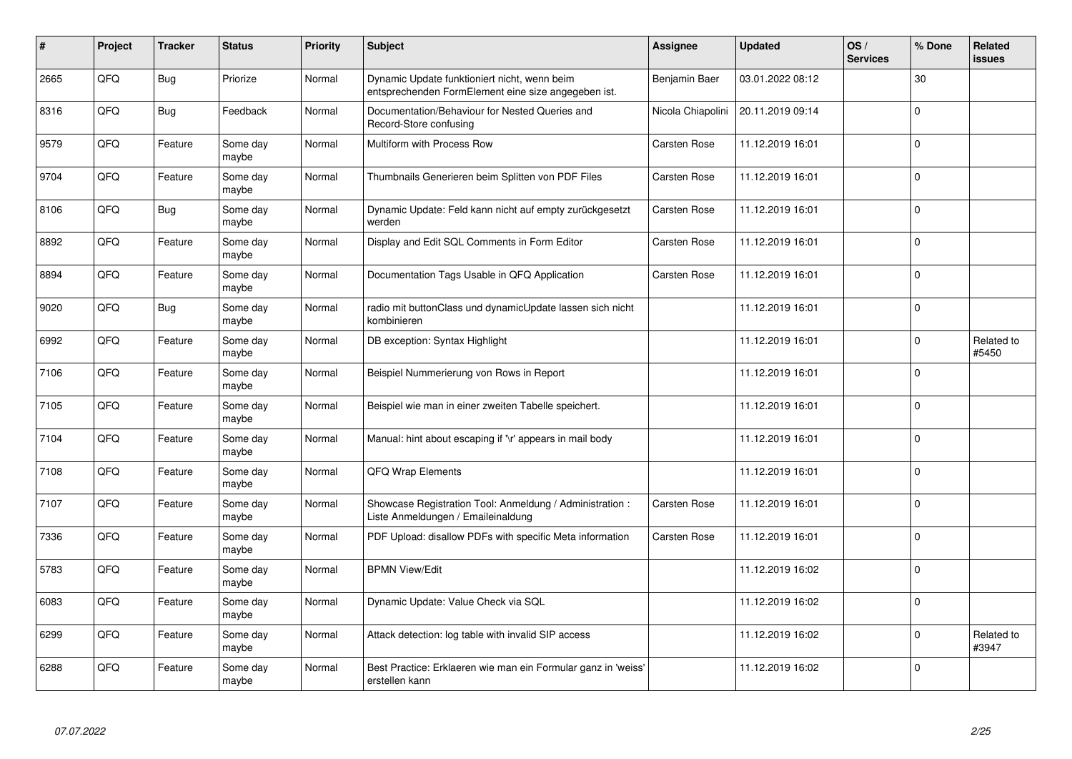| #    | Project | <b>Tracker</b> | <b>Status</b>     | <b>Priority</b> | <b>Subject</b>                                                                                      | <b>Assignee</b>   | <b>Updated</b>   | OS/<br><b>Services</b> | % Done      | Related<br>issues   |
|------|---------|----------------|-------------------|-----------------|-----------------------------------------------------------------------------------------------------|-------------------|------------------|------------------------|-------------|---------------------|
| 2665 | QFQ     | Bug            | Priorize          | Normal          | Dynamic Update funktioniert nicht, wenn beim<br>entsprechenden FormElement eine size angegeben ist. | Benjamin Baer     | 03.01.2022 08:12 |                        | 30          |                     |
| 8316 | QFQ     | Bug            | Feedback          | Normal          | Documentation/Behaviour for Nested Queries and<br>Record-Store confusing                            | Nicola Chiapolini | 20.11.2019 09:14 |                        | $\mathbf 0$ |                     |
| 9579 | QFQ     | Feature        | Some day<br>maybe | Normal          | Multiform with Process Row                                                                          | Carsten Rose      | 11.12.2019 16:01 |                        | $\Omega$    |                     |
| 9704 | QFQ     | Feature        | Some day<br>maybe | Normal          | Thumbnails Generieren beim Splitten von PDF Files                                                   | Carsten Rose      | 11.12.2019 16:01 |                        | $\Omega$    |                     |
| 8106 | QFQ     | <b>Bug</b>     | Some day<br>maybe | Normal          | Dynamic Update: Feld kann nicht auf empty zurückgesetzt<br>werden                                   | Carsten Rose      | 11.12.2019 16:01 |                        | $\mathbf 0$ |                     |
| 8892 | QFQ     | Feature        | Some day<br>maybe | Normal          | Display and Edit SQL Comments in Form Editor                                                        | Carsten Rose      | 11.12.2019 16:01 |                        | $\Omega$    |                     |
| 8894 | QFQ     | Feature        | Some day<br>maybe | Normal          | Documentation Tags Usable in QFQ Application                                                        | Carsten Rose      | 11.12.2019 16:01 |                        | $\Omega$    |                     |
| 9020 | QFQ     | Bug            | Some day<br>maybe | Normal          | radio mit buttonClass und dynamicUpdate lassen sich nicht<br>kombinieren                            |                   | 11.12.2019 16:01 |                        | $\Omega$    |                     |
| 6992 | QFQ     | Feature        | Some day<br>maybe | Normal          | DB exception: Syntax Highlight                                                                      |                   | 11.12.2019 16:01 |                        | $\Omega$    | Related to<br>#5450 |
| 7106 | QFQ     | Feature        | Some day<br>maybe | Normal          | Beispiel Nummerierung von Rows in Report                                                            |                   | 11.12.2019 16:01 |                        | $\Omega$    |                     |
| 7105 | QFQ     | Feature        | Some day<br>maybe | Normal          | Beispiel wie man in einer zweiten Tabelle speichert.                                                |                   | 11.12.2019 16:01 |                        | $\mathbf 0$ |                     |
| 7104 | QFQ     | Feature        | Some day<br>maybe | Normal          | Manual: hint about escaping if '\r' appears in mail body                                            |                   | 11.12.2019 16:01 |                        | $\mathbf 0$ |                     |
| 7108 | QFQ     | Feature        | Some day<br>maybe | Normal          | QFQ Wrap Elements                                                                                   |                   | 11.12.2019 16:01 |                        | $\mathbf 0$ |                     |
| 7107 | QFQ     | Feature        | Some day<br>maybe | Normal          | Showcase Registration Tool: Anmeldung / Administration :<br>Liste Anmeldungen / Emaileinaldung      | Carsten Rose      | 11.12.2019 16:01 |                        | $\mathbf 0$ |                     |
| 7336 | QFQ     | Feature        | Some day<br>maybe | Normal          | PDF Upload: disallow PDFs with specific Meta information                                            | Carsten Rose      | 11.12.2019 16:01 |                        | $\Omega$    |                     |
| 5783 | QFQ     | Feature        | Some day<br>maybe | Normal          | <b>BPMN View/Edit</b>                                                                               |                   | 11.12.2019 16:02 |                        | $\Omega$    |                     |
| 6083 | QFQ     | Feature        | Some day<br>maybe | Normal          | Dynamic Update: Value Check via SQL                                                                 |                   | 11.12.2019 16:02 |                        | $\mathbf 0$ |                     |
| 6299 | QFQ     | Feature        | Some day<br>maybe | Normal          | Attack detection: log table with invalid SIP access                                                 |                   | 11.12.2019 16:02 |                        | $\mathbf 0$ | Related to<br>#3947 |
| 6288 | QFQ     | Feature        | Some day<br>maybe | Normal          | Best Practice: Erklaeren wie man ein Formular ganz in 'weiss'<br>erstellen kann                     |                   | 11.12.2019 16:02 |                        | $\Omega$    |                     |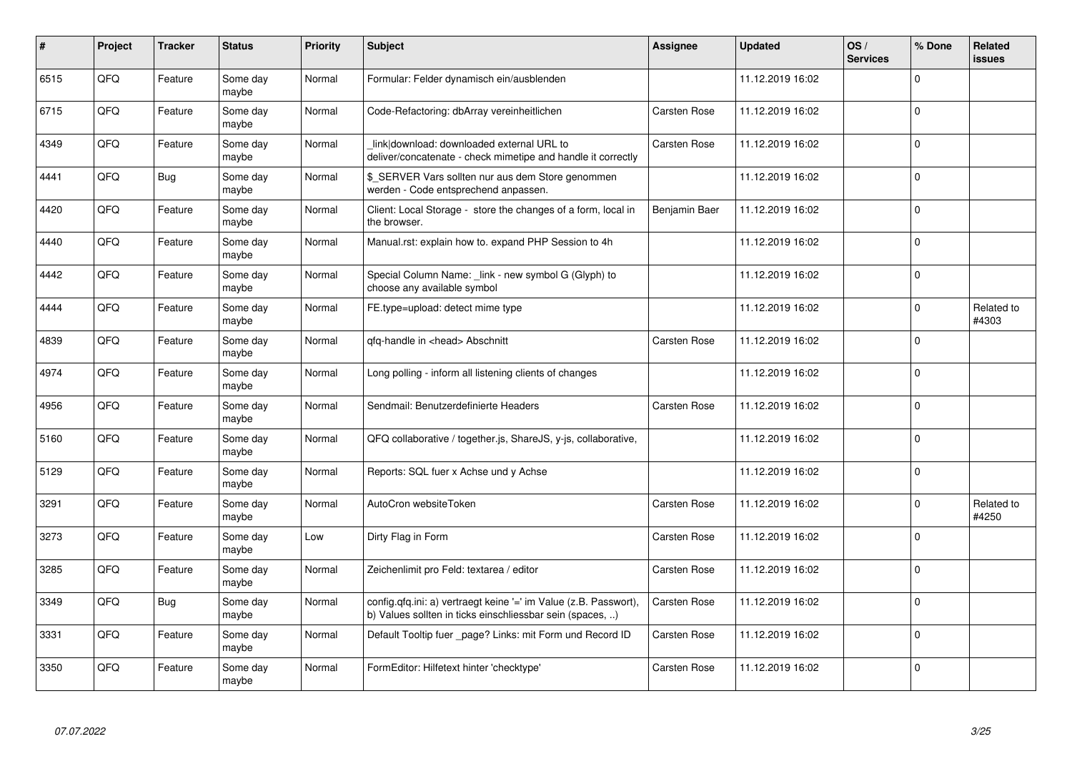| #    | Project    | <b>Tracker</b> | <b>Status</b>     | <b>Priority</b> | <b>Subject</b>                                                                                                                | <b>Assignee</b>     | <b>Updated</b>   | OS/<br><b>Services</b> | % Done      | Related<br>issues   |
|------|------------|----------------|-------------------|-----------------|-------------------------------------------------------------------------------------------------------------------------------|---------------------|------------------|------------------------|-------------|---------------------|
| 6515 | QFQ        | Feature        | Some day<br>maybe | Normal          | Formular: Felder dynamisch ein/ausblenden                                                                                     |                     | 11.12.2019 16:02 |                        | $\Omega$    |                     |
| 6715 | QFQ        | Feature        | Some day<br>maybe | Normal          | Code-Refactoring: dbArray vereinheitlichen                                                                                    | Carsten Rose        | 11.12.2019 16:02 |                        | $\mathbf 0$ |                     |
| 4349 | QFQ        | Feature        | Some day<br>maybe | Normal          | link download: downloaded external URL to<br>deliver/concatenate - check mimetipe and handle it correctly                     | <b>Carsten Rose</b> | 11.12.2019 16:02 |                        | $\Omega$    |                     |
| 4441 | QFQ        | Bug            | Some day<br>maybe | Normal          | \$ SERVER Vars sollten nur aus dem Store genommen<br>werden - Code entsprechend anpassen.                                     |                     | 11.12.2019 16:02 |                        | $\Omega$    |                     |
| 4420 | <b>OFO</b> | Feature        | Some day<br>maybe | Normal          | Client: Local Storage - store the changes of a form, local in<br>the browser.                                                 | Benjamin Baer       | 11.12.2019 16:02 |                        | $\Omega$    |                     |
| 4440 | QFQ        | Feature        | Some day<br>maybe | Normal          | Manual.rst: explain how to. expand PHP Session to 4h                                                                          |                     | 11.12.2019 16:02 |                        | $\Omega$    |                     |
| 4442 | QFQ        | Feature        | Some day<br>maybe | Normal          | Special Column Name: _link - new symbol G (Glyph) to<br>choose any available symbol                                           |                     | 11.12.2019 16:02 |                        | $\Omega$    |                     |
| 4444 | QFQ        | Feature        | Some day<br>maybe | Normal          | FE.type=upload: detect mime type                                                                                              |                     | 11.12.2019 16:02 |                        | $\Omega$    | Related to<br>#4303 |
| 4839 | QFQ        | Feature        | Some day<br>maybe | Normal          | qfq-handle in <head> Abschnitt</head>                                                                                         | Carsten Rose        | 11.12.2019 16:02 |                        | $\Omega$    |                     |
| 4974 | QFQ        | Feature        | Some day<br>maybe | Normal          | Long polling - inform all listening clients of changes                                                                        |                     | 11.12.2019 16:02 |                        | $\mathbf 0$ |                     |
| 4956 | QFQ        | Feature        | Some day<br>maybe | Normal          | Sendmail: Benutzerdefinierte Headers                                                                                          | Carsten Rose        | 11.12.2019 16:02 |                        | $\Omega$    |                     |
| 5160 | QFQ        | Feature        | Some day<br>maybe | Normal          | QFQ collaborative / together.js, ShareJS, y-js, collaborative,                                                                |                     | 11.12.2019 16:02 |                        | $\Omega$    |                     |
| 5129 | QFQ        | Feature        | Some day<br>maybe | Normal          | Reports: SQL fuer x Achse und y Achse                                                                                         |                     | 11.12.2019 16:02 |                        | $\mathbf 0$ |                     |
| 3291 | QFQ        | Feature        | Some day<br>maybe | Normal          | AutoCron websiteToken                                                                                                         | <b>Carsten Rose</b> | 11.12.2019 16:02 |                        | $\mathbf 0$ | Related to<br>#4250 |
| 3273 | QFQ        | Feature        | Some day<br>maybe | Low             | Dirty Flag in Form                                                                                                            | Carsten Rose        | 11.12.2019 16:02 |                        | $\mathbf 0$ |                     |
| 3285 | QFQ        | Feature        | Some day<br>maybe | Normal          | Zeichenlimit pro Feld: textarea / editor                                                                                      | Carsten Rose        | 11.12.2019 16:02 |                        | $\mathbf 0$ |                     |
| 3349 | QFQ        | <b>Bug</b>     | Some day<br>maybe | Normal          | config.qfq.ini: a) vertraegt keine '=' im Value (z.B. Passwort),<br>b) Values sollten in ticks einschliessbar sein (spaces, ) | Carsten Rose        | 11.12.2019 16:02 |                        | $\Omega$    |                     |
| 3331 | QFQ        | Feature        | Some day<br>maybe | Normal          | Default Tooltip fuer page? Links: mit Form und Record ID                                                                      | Carsten Rose        | 11.12.2019 16:02 |                        | $\mathbf 0$ |                     |
| 3350 | QFQ        | Feature        | Some day<br>maybe | Normal          | FormEditor: Hilfetext hinter 'checktype'                                                                                      | Carsten Rose        | 11.12.2019 16:02 |                        | $\Omega$    |                     |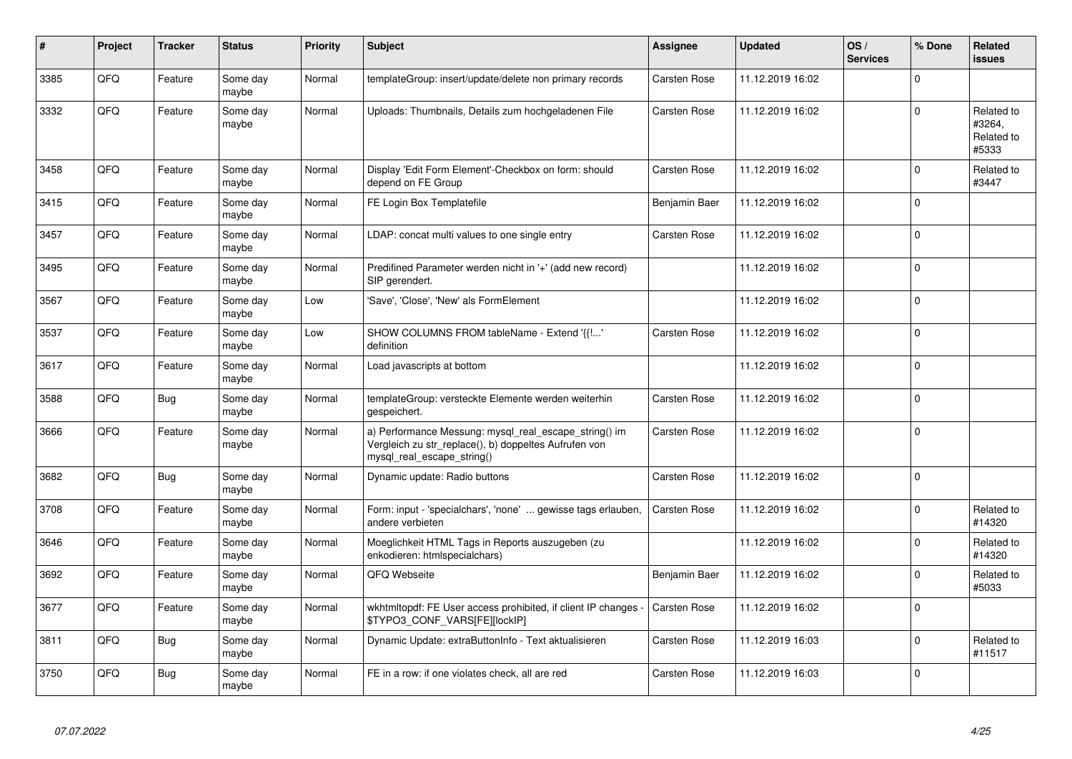| #    | Project | <b>Tracker</b> | <b>Status</b>     | <b>Priority</b> | <b>Subject</b>                                                                                                                               | Assignee            | <b>Updated</b>   | OS/<br><b>Services</b> | % Done         | Related<br><b>issues</b>                    |
|------|---------|----------------|-------------------|-----------------|----------------------------------------------------------------------------------------------------------------------------------------------|---------------------|------------------|------------------------|----------------|---------------------------------------------|
| 3385 | QFQ     | Feature        | Some day<br>maybe | Normal          | templateGroup: insert/update/delete non primary records                                                                                      | Carsten Rose        | 11.12.2019 16:02 |                        | $\Omega$       |                                             |
| 3332 | QFQ     | Feature        | Some day<br>maybe | Normal          | Uploads: Thumbnails, Details zum hochgeladenen File                                                                                          | Carsten Rose        | 11.12.2019 16:02 |                        | $\Omega$       | Related to<br>#3264,<br>Related to<br>#5333 |
| 3458 | QFQ     | Feature        | Some day<br>maybe | Normal          | Display 'Edit Form Element'-Checkbox on form: should<br>depend on FE Group                                                                   | Carsten Rose        | 11.12.2019 16:02 |                        | $\Omega$       | Related to<br>#3447                         |
| 3415 | QFQ     | Feature        | Some day<br>maybe | Normal          | FE Login Box Templatefile                                                                                                                    | Benjamin Baer       | 11.12.2019 16:02 |                        | $\Omega$       |                                             |
| 3457 | QFQ     | Feature        | Some day<br>maybe | Normal          | LDAP: concat multi values to one single entry                                                                                                | Carsten Rose        | 11.12.2019 16:02 |                        | $\Omega$       |                                             |
| 3495 | QFQ     | Feature        | Some day<br>maybe | Normal          | Predifined Parameter werden nicht in '+' (add new record)<br>SIP gerendert.                                                                  |                     | 11.12.2019 16:02 |                        | $\mathbf 0$    |                                             |
| 3567 | QFQ     | Feature        | Some day<br>maybe | Low             | 'Save', 'Close', 'New' als FormElement                                                                                                       |                     | 11.12.2019 16:02 |                        | $\Omega$       |                                             |
| 3537 | QFQ     | Feature        | Some day<br>maybe | Low             | SHOW COLUMNS FROM tableName - Extend '{{!'<br>definition                                                                                     | Carsten Rose        | 11.12.2019 16:02 |                        | $\Omega$       |                                             |
| 3617 | QFQ     | Feature        | Some day<br>maybe | Normal          | Load javascripts at bottom                                                                                                                   |                     | 11.12.2019 16:02 |                        | $\Omega$       |                                             |
| 3588 | QFQ     | <b>Bug</b>     | Some day<br>maybe | Normal          | templateGroup: versteckte Elemente werden weiterhin<br>gespeichert.                                                                          | Carsten Rose        | 11.12.2019 16:02 |                        | $\Omega$       |                                             |
| 3666 | QFQ     | Feature        | Some day<br>maybe | Normal          | a) Performance Messung: mysql_real_escape_string() im<br>Vergleich zu str replace(), b) doppeltes Aufrufen von<br>mysql_real_escape_string() | Carsten Rose        | 11.12.2019 16:02 |                        | $\overline{0}$ |                                             |
| 3682 | QFQ     | <b>Bug</b>     | Some day<br>maybe | Normal          | Dynamic update: Radio buttons                                                                                                                | Carsten Rose        | 11.12.2019 16:02 |                        | $\Omega$       |                                             |
| 3708 | QFQ     | Feature        | Some day<br>maybe | Normal          | Form: input - 'specialchars', 'none'  gewisse tags erlauben,<br>andere verbieten                                                             | Carsten Rose        | 11.12.2019 16:02 |                        | $\Omega$       | Related to<br>#14320                        |
| 3646 | QFQ     | Feature        | Some day<br>maybe | Normal          | Moeglichkeit HTML Tags in Reports auszugeben (zu<br>enkodieren: htmlspecialchars)                                                            |                     | 11.12.2019 16:02 |                        | $\Omega$       | Related to<br>#14320                        |
| 3692 | QFQ     | Feature        | Some day<br>maybe | Normal          | QFQ Webseite                                                                                                                                 | Benjamin Baer       | 11.12.2019 16:02 |                        | $\Omega$       | Related to<br>#5033                         |
| 3677 | QFQ     | Feature        | Some day<br>maybe | Normal          | wkhtmltopdf: FE User access prohibited, if client IP changes -<br>\$TYPO3_CONF_VARS[FE][lockIP]                                              | Carsten Rose        | 11.12.2019 16:02 |                        | $\Omega$       |                                             |
| 3811 | QFQ     | <b>Bug</b>     | Some day<br>maybe | Normal          | Dynamic Update: extraButtonInfo - Text aktualisieren                                                                                         | Carsten Rose        | 11.12.2019 16:03 |                        | $\Omega$       | Related to<br>#11517                        |
| 3750 | QFQ     | <b>Bug</b>     | Some day<br>maybe | Normal          | FE in a row: if one violates check, all are red                                                                                              | <b>Carsten Rose</b> | 11.12.2019 16:03 |                        | $\Omega$       |                                             |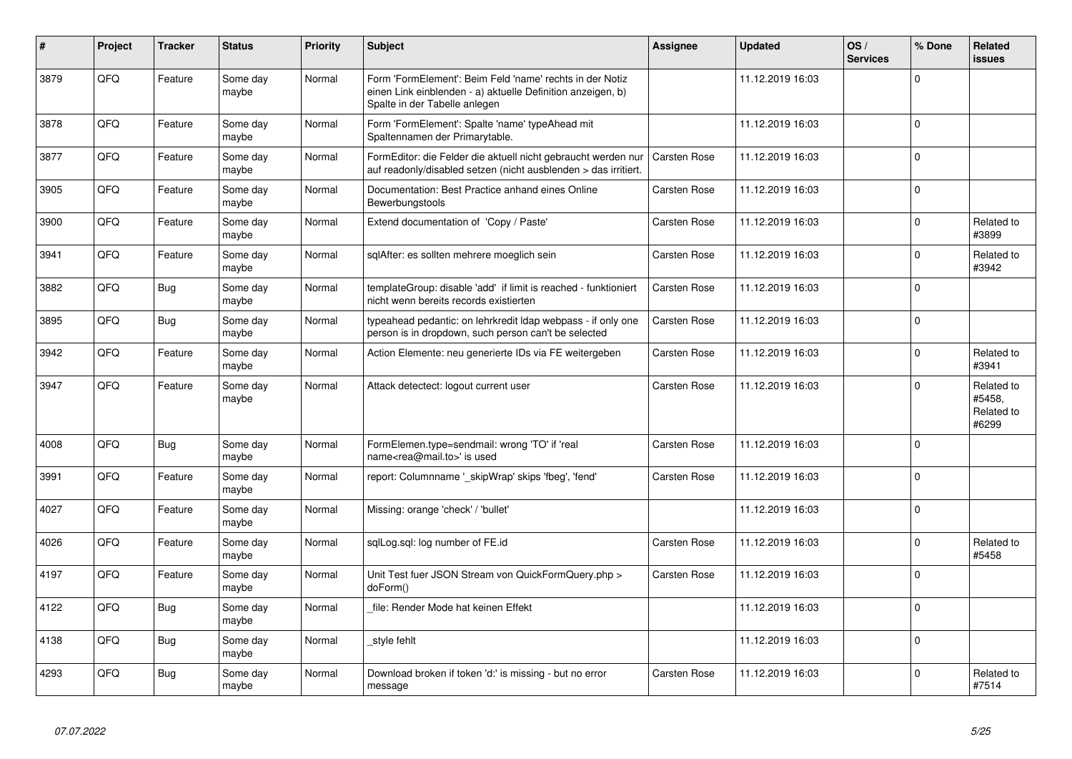| #    | <b>Project</b> | <b>Tracker</b> | <b>Status</b>     | <b>Priority</b> | <b>Subject</b>                                                                                                                                           | Assignee     | <b>Updated</b>   | OS/<br><b>Services</b> | % Done      | Related<br>issues                           |
|------|----------------|----------------|-------------------|-----------------|----------------------------------------------------------------------------------------------------------------------------------------------------------|--------------|------------------|------------------------|-------------|---------------------------------------------|
| 3879 | QFQ            | Feature        | Some day<br>maybe | Normal          | Form 'FormElement': Beim Feld 'name' rechts in der Notiz<br>einen Link einblenden - a) aktuelle Definition anzeigen, b)<br>Spalte in der Tabelle anlegen |              | 11.12.2019 16:03 |                        | $\Omega$    |                                             |
| 3878 | QFQ            | Feature        | Some day<br>maybe | Normal          | Form 'FormElement': Spalte 'name' typeAhead mit<br>Spaltennamen der Primarytable.                                                                        |              | 11.12.2019 16:03 |                        | $\Omega$    |                                             |
| 3877 | QFQ            | Feature        | Some day<br>maybe | Normal          | FormEditor: die Felder die aktuell nicht gebraucht werden nur<br>auf readonly/disabled setzen (nicht ausblenden > das irritiert.                         | Carsten Rose | 11.12.2019 16:03 |                        | $\Omega$    |                                             |
| 3905 | QFQ            | Feature        | Some day<br>maybe | Normal          | Documentation: Best Practice anhand eines Online<br>Bewerbungstools                                                                                      | Carsten Rose | 11.12.2019 16:03 |                        | $\Omega$    |                                             |
| 3900 | QFQ            | Feature        | Some day<br>maybe | Normal          | Extend documentation of 'Copy / Paste'                                                                                                                   | Carsten Rose | 11.12.2019 16:03 |                        | $\Omega$    | Related to<br>#3899                         |
| 3941 | QFQ            | Feature        | Some day<br>maybe | Normal          | sqlAfter: es sollten mehrere moeglich sein                                                                                                               | Carsten Rose | 11.12.2019 16:03 |                        | $\Omega$    | Related to<br>#3942                         |
| 3882 | QFQ            | <b>Bug</b>     | Some day<br>maybe | Normal          | templateGroup: disable 'add' if limit is reached - funktioniert<br>nicht wenn bereits records existierten                                                | Carsten Rose | 11.12.2019 16:03 |                        | $\Omega$    |                                             |
| 3895 | QFQ            | Bug            | Some day<br>maybe | Normal          | typeahead pedantic: on lehrkredit Idap webpass - if only one<br>person is in dropdown, such person can't be selected                                     | Carsten Rose | 11.12.2019 16:03 |                        | $\Omega$    |                                             |
| 3942 | QFQ            | Feature        | Some day<br>maybe | Normal          | Action Elemente: neu generierte IDs via FE weitergeben                                                                                                   | Carsten Rose | 11.12.2019 16:03 |                        | $\Omega$    | Related to<br>#3941                         |
| 3947 | QFQ            | Feature        | Some day<br>maybe | Normal          | Attack detectect: logout current user                                                                                                                    | Carsten Rose | 11.12.2019 16:03 |                        | $\Omega$    | Related to<br>#5458,<br>Related to<br>#6299 |
| 4008 | QFQ            | <b>Bug</b>     | Some day<br>maybe | Normal          | FormElemen.type=sendmail: wrong 'TO' if 'real<br>name <rea@mail.to>' is used</rea@mail.to>                                                               | Carsten Rose | 11.12.2019 16:03 |                        | $\Omega$    |                                             |
| 3991 | QFQ            | Feature        | Some day<br>maybe | Normal          | report: Columnname '_skipWrap' skips 'fbeg', 'fend'                                                                                                      | Carsten Rose | 11.12.2019 16:03 |                        | $\Omega$    |                                             |
| 4027 | QFQ            | Feature        | Some day<br>maybe | Normal          | Missing: orange 'check' / 'bullet'                                                                                                                       |              | 11.12.2019 16:03 |                        | $\mathbf 0$ |                                             |
| 4026 | QFQ            | Feature        | Some day<br>maybe | Normal          | sqlLog.sql: log number of FE.id                                                                                                                          | Carsten Rose | 11.12.2019 16:03 |                        | $\Omega$    | Related to<br>#5458                         |
| 4197 | QFQ            | Feature        | Some day<br>maybe | Normal          | Unit Test fuer JSON Stream von QuickFormQuery.php ><br>doForm()                                                                                          | Carsten Rose | 11.12.2019 16:03 |                        | $\Omega$    |                                             |
| 4122 | QFQ            | <b>Bug</b>     | Some day<br>maybe | Normal          | file: Render Mode hat keinen Effekt                                                                                                                      |              | 11.12.2019 16:03 |                        | $\Omega$    |                                             |
| 4138 | QFQ            | <b>Bug</b>     | Some day<br>maybe | Normal          | style fehlt                                                                                                                                              |              | 11.12.2019 16:03 |                        | $\Omega$    |                                             |
| 4293 | QFQ            | <b>Bug</b>     | Some day<br>maybe | Normal          | Download broken if token 'd:' is missing - but no error<br>message                                                                                       | Carsten Rose | 11.12.2019 16:03 |                        | $\Omega$    | Related to<br>#7514                         |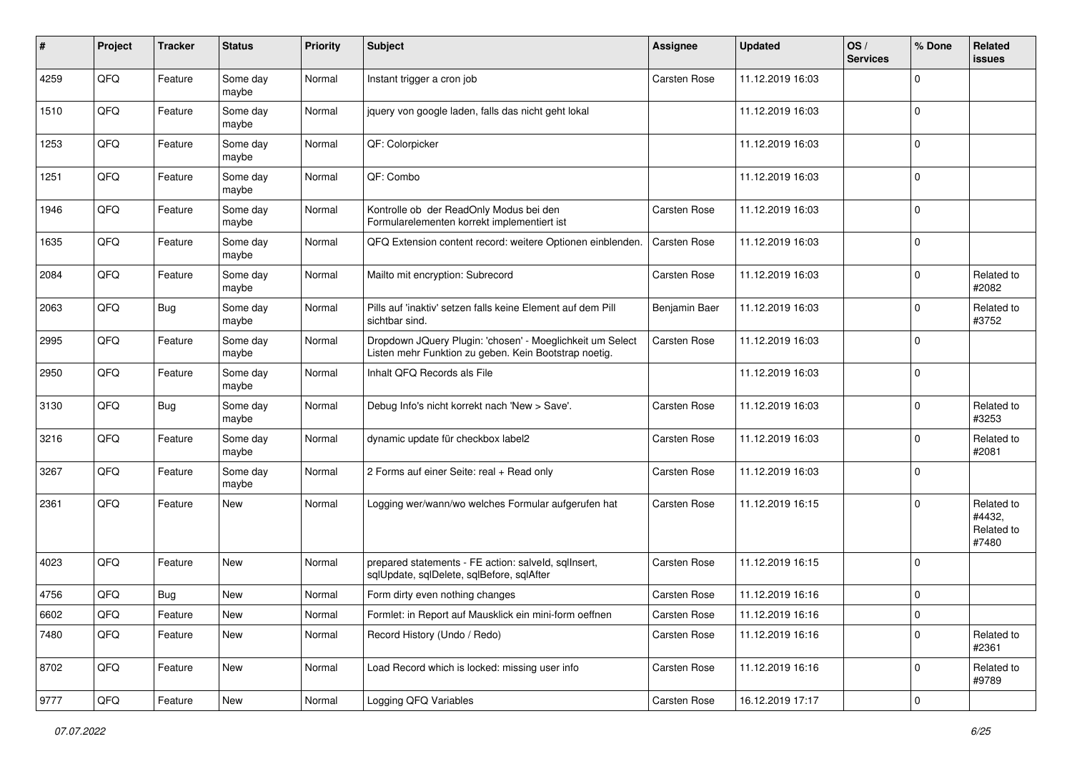| #    | Project        | <b>Tracker</b> | <b>Status</b>     | <b>Priority</b> | <b>Subject</b>                                                                                                     | <b>Assignee</b>     | <b>Updated</b>   | OS/<br><b>Services</b> | % Done      | Related<br>issues                           |
|------|----------------|----------------|-------------------|-----------------|--------------------------------------------------------------------------------------------------------------------|---------------------|------------------|------------------------|-------------|---------------------------------------------|
| 4259 | QFQ            | Feature        | Some day<br>maybe | Normal          | Instant trigger a cron job                                                                                         | Carsten Rose        | 11.12.2019 16:03 |                        | $\Omega$    |                                             |
| 1510 | QFQ            | Feature        | Some day<br>maybe | Normal          | jquery von google laden, falls das nicht geht lokal                                                                |                     | 11.12.2019 16:03 |                        | $\mathbf 0$ |                                             |
| 1253 | QFQ            | Feature        | Some day<br>maybe | Normal          | QF: Colorpicker                                                                                                    |                     | 11.12.2019 16:03 |                        | $\Omega$    |                                             |
| 1251 | QFQ            | Feature        | Some day<br>maybe | Normal          | QF: Combo                                                                                                          |                     | 11.12.2019 16:03 |                        | $\Omega$    |                                             |
| 1946 | QFQ            | Feature        | Some day<br>maybe | Normal          | Kontrolle ob der ReadOnly Modus bei den<br>Formularelementen korrekt implementiert ist                             | Carsten Rose        | 11.12.2019 16:03 |                        | $\Omega$    |                                             |
| 1635 | QFQ            | Feature        | Some day<br>maybe | Normal          | QFQ Extension content record: weitere Optionen einblenden.                                                         | Carsten Rose        | 11.12.2019 16:03 |                        | $\Omega$    |                                             |
| 2084 | QFQ            | Feature        | Some day<br>maybe | Normal          | Mailto mit encryption: Subrecord                                                                                   | Carsten Rose        | 11.12.2019 16:03 |                        | $\Omega$    | Related to<br>#2082                         |
| 2063 | QFQ            | <b>Bug</b>     | Some day<br>maybe | Normal          | Pills auf 'inaktiv' setzen falls keine Element auf dem Pill<br>sichtbar sind.                                      | Benjamin Baer       | 11.12.2019 16:03 |                        | $\Omega$    | Related to<br>#3752                         |
| 2995 | QFQ            | Feature        | Some day<br>maybe | Normal          | Dropdown JQuery Plugin: 'chosen' - Moeglichkeit um Select<br>Listen mehr Funktion zu geben. Kein Bootstrap noetig. | Carsten Rose        | 11.12.2019 16:03 |                        | 0           |                                             |
| 2950 | QFQ            | Feature        | Some day<br>maybe | Normal          | Inhalt QFQ Records als File                                                                                        |                     | 11.12.2019 16:03 |                        | $\Omega$    |                                             |
| 3130 | QFQ            | Bug            | Some day<br>maybe | Normal          | Debug Info's nicht korrekt nach 'New > Save'.                                                                      | Carsten Rose        | 11.12.2019 16:03 |                        | $\mathbf 0$ | Related to<br>#3253                         |
| 3216 | QFQ            | Feature        | Some day<br>maybe | Normal          | dynamic update für checkbox label2                                                                                 | Carsten Rose        | 11.12.2019 16:03 |                        | $\Omega$    | Related to<br>#2081                         |
| 3267 | QFQ            | Feature        | Some day<br>maybe | Normal          | 2 Forms auf einer Seite: real + Read only                                                                          | Carsten Rose        | 11.12.2019 16:03 |                        | $\Omega$    |                                             |
| 2361 | QFQ            | Feature        | New               | Normal          | Logging wer/wann/wo welches Formular aufgerufen hat                                                                | <b>Carsten Rose</b> | 11.12.2019 16:15 |                        | $\Omega$    | Related to<br>#4432,<br>Related to<br>#7480 |
| 4023 | QFQ            | Feature        | New               | Normal          | prepared statements - FE action: salveld, sqllnsert,<br>sqlUpdate, sqlDelete, sqlBefore, sqlAfter                  | Carsten Rose        | 11.12.2019 16:15 |                        | $\Omega$    |                                             |
| 4756 | QFQ            | Bug            | New               | Normal          | Form dirty even nothing changes                                                                                    | Carsten Rose        | 11.12.2019 16:16 |                        | $\mathbf 0$ |                                             |
| 6602 | QFQ            | Feature        | New               | Normal          | Formlet: in Report auf Mausklick ein mini-form oeffnen                                                             | Carsten Rose        | 11.12.2019 16:16 |                        | 0           |                                             |
| 7480 | QFQ            | Feature        | New               | Normal          | Record History (Undo / Redo)                                                                                       | Carsten Rose        | 11.12.2019 16:16 |                        | 0           | Related to<br>#2361                         |
| 8702 | QFQ            | Feature        | New               | Normal          | Load Record which is locked: missing user info                                                                     | Carsten Rose        | 11.12.2019 16:16 |                        | $\mathbf 0$ | Related to<br>#9789                         |
| 9777 | $\mathsf{QFQ}$ | Feature        | New               | Normal          | Logging QFQ Variables                                                                                              | Carsten Rose        | 16.12.2019 17:17 |                        | 0           |                                             |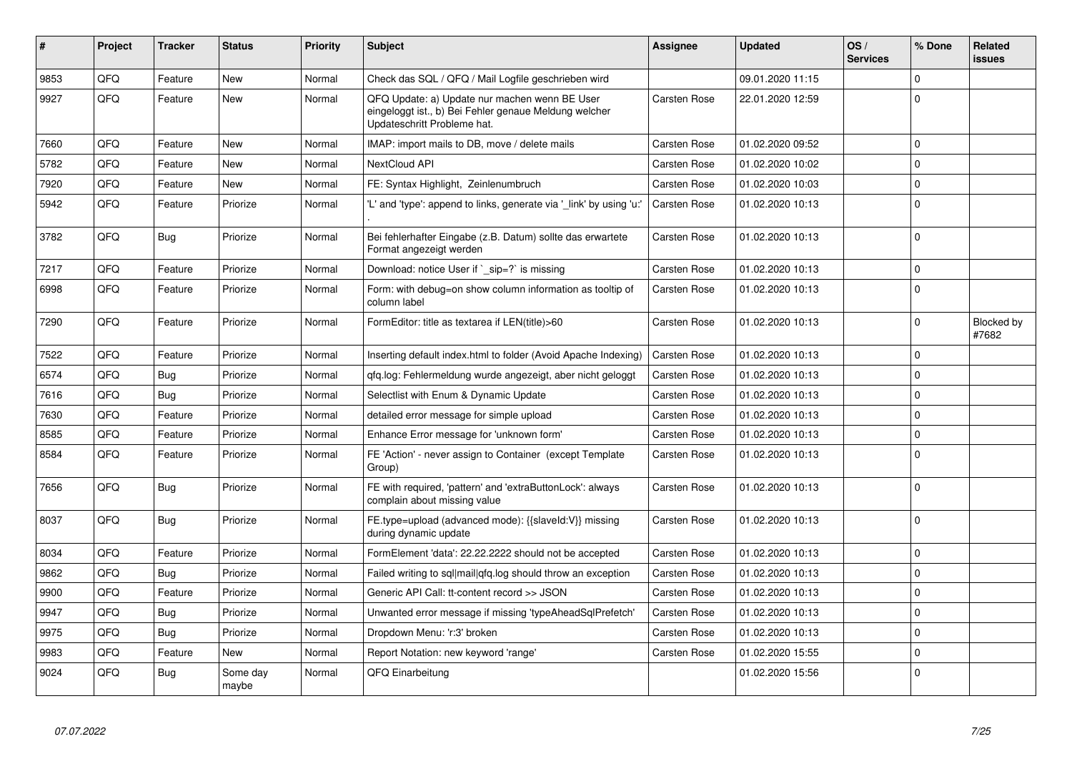| #    | <b>Project</b> | <b>Tracker</b> | <b>Status</b>     | <b>Priority</b> | <b>Subject</b>                                                                                                                        | Assignee            | <b>Updated</b>   | OS/<br><b>Services</b> | % Done      | Related<br><b>issues</b> |
|------|----------------|----------------|-------------------|-----------------|---------------------------------------------------------------------------------------------------------------------------------------|---------------------|------------------|------------------------|-------------|--------------------------|
| 9853 | QFQ            | Feature        | New               | Normal          | Check das SQL / QFQ / Mail Logfile geschrieben wird                                                                                   |                     | 09.01.2020 11:15 |                        | 0           |                          |
| 9927 | QFQ            | Feature        | New               | Normal          | QFQ Update: a) Update nur machen wenn BE User<br>eingeloggt ist., b) Bei Fehler genaue Meldung welcher<br>Updateschritt Probleme hat. | Carsten Rose        | 22.01.2020 12:59 |                        | $\Omega$    |                          |
| 7660 | QFQ            | Feature        | <b>New</b>        | Normal          | IMAP: import mails to DB, move / delete mails                                                                                         | Carsten Rose        | 01.02.2020 09:52 |                        | $\mathbf 0$ |                          |
| 5782 | QFQ            | Feature        | <b>New</b>        | Normal          | <b>NextCloud API</b>                                                                                                                  | Carsten Rose        | 01.02.2020 10:02 |                        | $\mathbf 0$ |                          |
| 7920 | QFQ            | Feature        | <b>New</b>        | Normal          | FE: Syntax Highlight, Zeinlenumbruch                                                                                                  | Carsten Rose        | 01.02.2020 10:03 |                        | $\mathbf 0$ |                          |
| 5942 | QFQ            | Feature        | Priorize          | Normal          | 'L' and 'type': append to links, generate via ' link' by using 'u:'                                                                   | <b>Carsten Rose</b> | 01.02.2020 10:13 |                        | $\mathbf 0$ |                          |
| 3782 | QFQ            | <b>Bug</b>     | Priorize          | Normal          | Bei fehlerhafter Eingabe (z.B. Datum) sollte das erwartete<br>Format angezeigt werden                                                 | Carsten Rose        | 01.02.2020 10:13 |                        | $\mathbf 0$ |                          |
| 7217 | QFQ            | Feature        | Priorize          | Normal          | Download: notice User if ` sip=?` is missing                                                                                          | Carsten Rose        | 01.02.2020 10:13 |                        | 0           |                          |
| 6998 | QFQ            | Feature        | Priorize          | Normal          | Form: with debug=on show column information as tooltip of<br>column label                                                             | <b>Carsten Rose</b> | 01.02.2020 10:13 |                        | $\mathbf 0$ |                          |
| 7290 | QFQ            | Feature        | Priorize          | Normal          | FormEditor: title as textarea if LEN(title)>60                                                                                        | Carsten Rose        | 01.02.2020 10:13 |                        | 0           | Blocked by<br>#7682      |
| 7522 | QFQ            | Feature        | Priorize          | Normal          | Inserting default index.html to folder (Avoid Apache Indexing)                                                                        | Carsten Rose        | 01.02.2020 10:13 |                        | 0           |                          |
| 6574 | QFQ            | Bug            | Priorize          | Normal          | qfq.log: Fehlermeldung wurde angezeigt, aber nicht geloggt                                                                            | Carsten Rose        | 01.02.2020 10:13 |                        | 0           |                          |
| 7616 | QFQ            | Bug            | Priorize          | Normal          | Selectlist with Enum & Dynamic Update                                                                                                 | Carsten Rose        | 01.02.2020 10:13 |                        | 0           |                          |
| 7630 | QFQ            | Feature        | Priorize          | Normal          | detailed error message for simple upload                                                                                              | Carsten Rose        | 01.02.2020 10:13 |                        | $\Omega$    |                          |
| 8585 | QFQ            | Feature        | Priorize          | Normal          | Enhance Error message for 'unknown form'                                                                                              | Carsten Rose        | 01.02.2020 10:13 |                        | 0           |                          |
| 8584 | QFQ            | Feature        | Priorize          | Normal          | FE 'Action' - never assign to Container (except Template<br>Group)                                                                    | Carsten Rose        | 01.02.2020 10:13 |                        | $\mathbf 0$ |                          |
| 7656 | QFQ            | Bug            | Priorize          | Normal          | FE with required, 'pattern' and 'extraButtonLock': always<br>complain about missing value                                             | Carsten Rose        | 01.02.2020 10:13 |                        | 0           |                          |
| 8037 | QFQ            | Bug            | Priorize          | Normal          | FE.type=upload (advanced mode): {{slaveld:V}} missing<br>during dynamic update                                                        | Carsten Rose        | 01.02.2020 10:13 |                        | 0           |                          |
| 8034 | QFQ            | Feature        | Priorize          | Normal          | FormElement 'data': 22.22.2222 should not be accepted                                                                                 | Carsten Rose        | 01.02.2020 10:13 |                        | 0           |                          |
| 9862 | QFQ            | <b>Bug</b>     | Priorize          | Normal          | Failed writing to sql mail qfq.log should throw an exception                                                                          | Carsten Rose        | 01.02.2020 10:13 |                        | 0           |                          |
| 9900 | QFQ            | Feature        | Priorize          | Normal          | Generic API Call: tt-content record >> JSON                                                                                           | Carsten Rose        | 01.02.2020 10:13 |                        | 0           |                          |
| 9947 | QFQ            | Bug            | Priorize          | Normal          | Unwanted error message if missing 'typeAheadSqlPrefetch'                                                                              | Carsten Rose        | 01.02.2020 10:13 |                        | 0           |                          |
| 9975 | QFQ            | Bug            | Priorize          | Normal          | Dropdown Menu: 'r:3' broken                                                                                                           | Carsten Rose        | 01.02.2020 10:13 |                        | $\mathbf 0$ |                          |
| 9983 | QFQ            | Feature        | New               | Normal          | Report Notation: new keyword 'range'                                                                                                  | Carsten Rose        | 01.02.2020 15:55 |                        | $\mathbf 0$ |                          |
| 9024 | QFQ            | Bug            | Some day<br>maybe | Normal          | QFQ Einarbeitung                                                                                                                      |                     | 01.02.2020 15:56 |                        | $\mathbf 0$ |                          |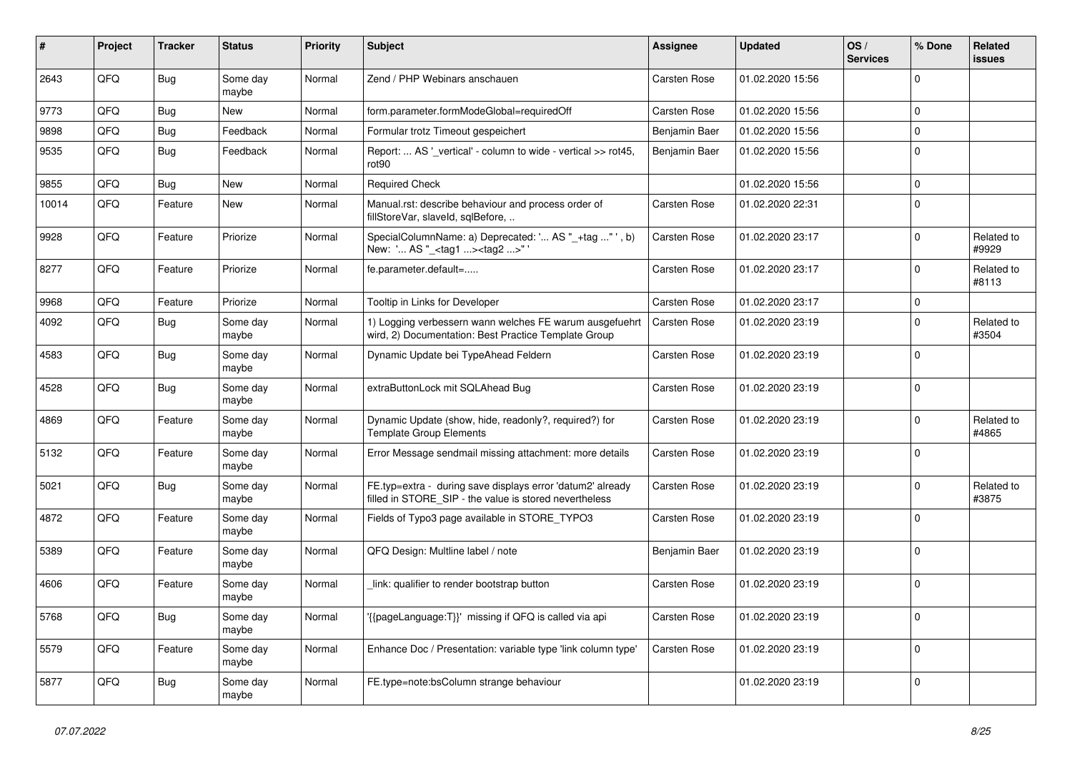| $\vert$ # | Project | <b>Tracker</b> | <b>Status</b>     | <b>Priority</b> | <b>Subject</b>                                                                                                       | <b>Assignee</b> | <b>Updated</b>   | OS/<br><b>Services</b> | % Done      | Related<br>issues   |
|-----------|---------|----------------|-------------------|-----------------|----------------------------------------------------------------------------------------------------------------------|-----------------|------------------|------------------------|-------------|---------------------|
| 2643      | QFQ     | <b>Bug</b>     | Some day<br>maybe | Normal          | Zend / PHP Webinars anschauen                                                                                        | Carsten Rose    | 01.02.2020 15:56 |                        | $\Omega$    |                     |
| 9773      | QFQ     | Bug            | <b>New</b>        | Normal          | form.parameter.formModeGlobal=requiredOff                                                                            | Carsten Rose    | 01.02.2020 15:56 |                        | $\mathbf 0$ |                     |
| 9898      | QFQ     | <b>Bug</b>     | Feedback          | Normal          | Formular trotz Timeout gespeichert                                                                                   | Benjamin Baer   | 01.02.2020 15:56 |                        | $\mathbf 0$ |                     |
| 9535      | QFQ     | Bug            | Feedback          | Normal          | Report:  AS '_vertical' - column to wide - vertical >> rot45,<br>rot90                                               | Benjamin Baer   | 01.02.2020 15:56 |                        | $\mathbf 0$ |                     |
| 9855      | QFQ     | <b>Bug</b>     | New               | Normal          | <b>Required Check</b>                                                                                                |                 | 01.02.2020 15:56 |                        | $\Omega$    |                     |
| 10014     | QFQ     | Feature        | <b>New</b>        | Normal          | Manual.rst: describe behaviour and process order of<br>fillStoreVar, slaveId, sqlBefore,                             | Carsten Rose    | 01.02.2020 22:31 |                        | $\Omega$    |                     |
| 9928      | QFQ     | Feature        | Priorize          | Normal          | SpecialColumnName: a) Deprecated: ' AS "_+tag " ', b)<br>New: ' AS "_ <tag1><tag2>"</tag2></tag1>                    | Carsten Rose    | 01.02.2020 23:17 |                        | $\mathbf 0$ | Related to<br>#9929 |
| 8277      | QFQ     | Feature        | Priorize          | Normal          | fe.parameter.default=                                                                                                | Carsten Rose    | 01.02.2020 23:17 |                        | $\mathbf 0$ | Related to<br>#8113 |
| 9968      | QFQ     | Feature        | Priorize          | Normal          | Tooltip in Links for Developer                                                                                       | Carsten Rose    | 01.02.2020 23:17 |                        | $\mathbf 0$ |                     |
| 4092      | QFQ     | Bug            | Some day<br>maybe | Normal          | 1) Logging verbessern wann welches FE warum ausgefuehrt<br>wird, 2) Documentation: Best Practice Template Group      | Carsten Rose    | 01.02.2020 23:19 |                        | $\Omega$    | Related to<br>#3504 |
| 4583      | QFQ     | <b>Bug</b>     | Some day<br>maybe | Normal          | Dynamic Update bei TypeAhead Feldern                                                                                 | Carsten Rose    | 01.02.2020 23:19 |                        | $\mathbf 0$ |                     |
| 4528      | QFQ     | Bug            | Some day<br>maybe | Normal          | extraButtonLock mit SQLAhead Bug                                                                                     | Carsten Rose    | 01.02.2020 23:19 |                        | $\Omega$    |                     |
| 4869      | QFQ     | Feature        | Some day<br>maybe | Normal          | Dynamic Update (show, hide, readonly?, required?) for<br><b>Template Group Elements</b>                              | Carsten Rose    | 01.02.2020 23:19 |                        | $\Omega$    | Related to<br>#4865 |
| 5132      | QFQ     | Feature        | Some day<br>maybe | Normal          | Error Message sendmail missing attachment: more details                                                              | Carsten Rose    | 01.02.2020 23:19 |                        | $\Omega$    |                     |
| 5021      | QFQ     | Bug            | Some day<br>maybe | Normal          | FE.typ=extra - during save displays error 'datum2' already<br>filled in STORE_SIP - the value is stored nevertheless | Carsten Rose    | 01.02.2020 23:19 |                        | $\mathbf 0$ | Related to<br>#3875 |
| 4872      | QFQ     | Feature        | Some day<br>maybe | Normal          | Fields of Typo3 page available in STORE_TYPO3                                                                        | Carsten Rose    | 01.02.2020 23:19 |                        | $\Omega$    |                     |
| 5389      | QFQ     | Feature        | Some day<br>maybe | Normal          | QFQ Design: Multline label / note                                                                                    | Benjamin Baer   | 01.02.2020 23:19 |                        | $\Omega$    |                     |
| 4606      | QFQ     | Feature        | Some day<br>maybe | Normal          | link: qualifier to render bootstrap button                                                                           | Carsten Rose    | 01.02.2020 23:19 |                        | $\mathbf 0$ |                     |
| 5768      | QFQ     | <b>Bug</b>     | Some day<br>maybe | Normal          | {{pageLanguage:T}}' missing if QFQ is called via api                                                                 | Carsten Rose    | 01.02.2020 23:19 |                        | $\Omega$    |                     |
| 5579      | QFQ     | Feature        | Some day<br>maybe | Normal          | Enhance Doc / Presentation: variable type 'link column type'                                                         | Carsten Rose    | 01.02.2020 23:19 |                        | $\mathbf 0$ |                     |
| 5877      | QFQ     | <b>Bug</b>     | Some day<br>maybe | Normal          | FE.type=note:bsColumn strange behaviour                                                                              |                 | 01.02.2020 23:19 |                        | $\Omega$    |                     |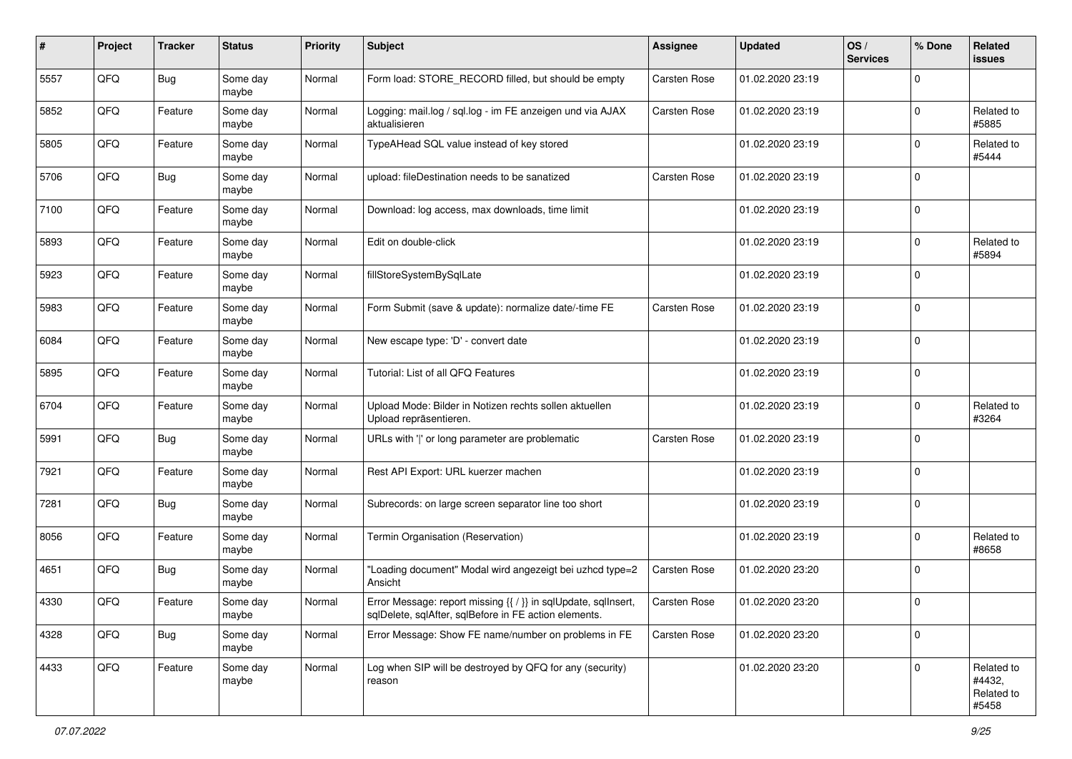| ∦    | Project | <b>Tracker</b> | <b>Status</b>     | <b>Priority</b> | <b>Subject</b>                                                                                                          | <b>Assignee</b>     | <b>Updated</b>   | OS/<br><b>Services</b> | % Done      | Related<br>issues                           |
|------|---------|----------------|-------------------|-----------------|-------------------------------------------------------------------------------------------------------------------------|---------------------|------------------|------------------------|-------------|---------------------------------------------|
| 5557 | QFQ     | <b>Bug</b>     | Some day<br>maybe | Normal          | Form load: STORE_RECORD filled, but should be empty                                                                     | Carsten Rose        | 01.02.2020 23:19 |                        | $\Omega$    |                                             |
| 5852 | QFQ     | Feature        | Some day<br>maybe | Normal          | Logging: mail.log / sql.log - im FE anzeigen und via AJAX<br>aktualisieren                                              | Carsten Rose        | 01.02.2020 23:19 |                        | $\Omega$    | Related to<br>#5885                         |
| 5805 | QFQ     | Feature        | Some day<br>maybe | Normal          | TypeAHead SQL value instead of key stored                                                                               |                     | 01.02.2020 23:19 |                        | $\Omega$    | Related to<br>#5444                         |
| 5706 | QFQ     | Bug            | Some day<br>maybe | Normal          | upload: fileDestination needs to be sanatized                                                                           | Carsten Rose        | 01.02.2020 23:19 |                        | $\Omega$    |                                             |
| 7100 | QFQ     | Feature        | Some day<br>maybe | Normal          | Download: log access, max downloads, time limit                                                                         |                     | 01.02.2020 23:19 |                        | $\Omega$    |                                             |
| 5893 | QFQ     | Feature        | Some day<br>maybe | Normal          | Edit on double-click                                                                                                    |                     | 01.02.2020 23:19 |                        | $\Omega$    | Related to<br>#5894                         |
| 5923 | QFQ     | Feature        | Some day<br>maybe | Normal          | fillStoreSystemBySqlLate                                                                                                |                     | 01.02.2020 23:19 |                        | $\Omega$    |                                             |
| 5983 | QFQ     | Feature        | Some day<br>maybe | Normal          | Form Submit (save & update): normalize date/-time FE                                                                    | Carsten Rose        | 01.02.2020 23:19 |                        | $\mathbf 0$ |                                             |
| 6084 | QFQ     | Feature        | Some day<br>maybe | Normal          | New escape type: 'D' - convert date                                                                                     |                     | 01.02.2020 23:19 |                        | $\mathbf 0$ |                                             |
| 5895 | QFQ     | Feature        | Some day<br>maybe | Normal          | Tutorial: List of all QFQ Features                                                                                      |                     | 01.02.2020 23:19 |                        | $\Omega$    |                                             |
| 6704 | QFQ     | Feature        | Some day<br>maybe | Normal          | Upload Mode: Bilder in Notizen rechts sollen aktuellen<br>Upload repräsentieren.                                        |                     | 01.02.2020 23:19 |                        | $\mathbf 0$ | Related to<br>#3264                         |
| 5991 | QFQ     | Bug            | Some day<br>maybe | Normal          | URLs with ' ' or long parameter are problematic                                                                         | <b>Carsten Rose</b> | 01.02.2020 23:19 |                        | $\Omega$    |                                             |
| 7921 | QFQ     | Feature        | Some day<br>maybe | Normal          | Rest API Export: URL kuerzer machen                                                                                     |                     | 01.02.2020 23:19 |                        | $\Omega$    |                                             |
| 7281 | QFQ     | <b>Bug</b>     | Some day<br>maybe | Normal          | Subrecords: on large screen separator line too short                                                                    |                     | 01.02.2020 23:19 |                        | $\Omega$    |                                             |
| 8056 | QFQ     | Feature        | Some day<br>maybe | Normal          | Termin Organisation (Reservation)                                                                                       |                     | 01.02.2020 23:19 |                        | $\Omega$    | Related to<br>#8658                         |
| 4651 | QFQ     | <b>Bug</b>     | Some day<br>maybe | Normal          | "Loading document" Modal wird angezeigt bei uzhcd type=2<br>Ansicht                                                     | <b>Carsten Rose</b> | 01.02.2020 23:20 |                        | $\Omega$    |                                             |
| 4330 | QFQ     | Feature        | Some day<br>maybe | Normal          | Error Message: report missing {{ / }} in sqlUpdate, sqlInsert,<br>sqlDelete, sqlAfter, sqlBefore in FE action elements. | Carsten Rose        | 01.02.2020 23:20 |                        | l 0         |                                             |
| 4328 | QFQ     | <b>Bug</b>     | Some day<br>maybe | Normal          | Error Message: Show FE name/number on problems in FE                                                                    | Carsten Rose        | 01.02.2020 23:20 |                        | 0           |                                             |
| 4433 | QFG     | Feature        | Some day<br>maybe | Normal          | Log when SIP will be destroyed by QFQ for any (security)<br>reason                                                      |                     | 01.02.2020 23:20 |                        | $\mathbf 0$ | Related to<br>#4432,<br>Related to<br>#5458 |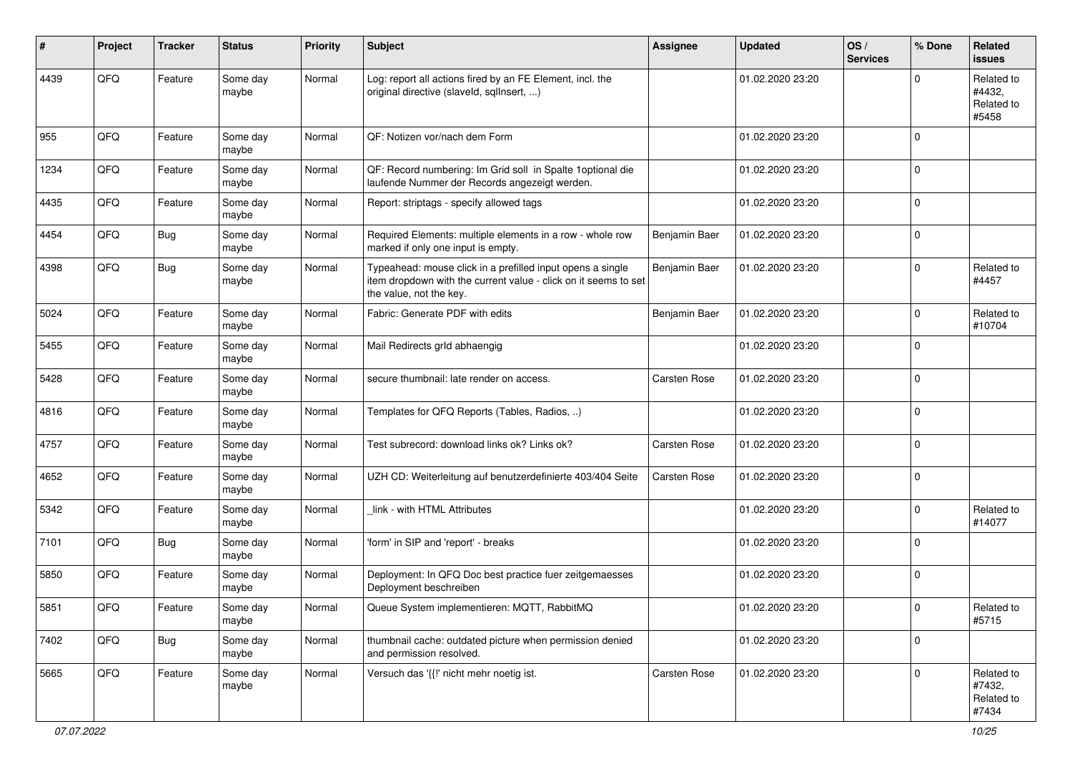| #    | Project | <b>Tracker</b> | <b>Status</b>     | <b>Priority</b> | <b>Subject</b>                                                                                                                                           | <b>Assignee</b> | <b>Updated</b>   | OS/<br><b>Services</b> | % Done      | Related<br>issues                           |
|------|---------|----------------|-------------------|-----------------|----------------------------------------------------------------------------------------------------------------------------------------------------------|-----------------|------------------|------------------------|-------------|---------------------------------------------|
| 4439 | QFQ     | Feature        | Some day<br>maybe | Normal          | Log: report all actions fired by an FE Element, incl. the<br>original directive (slaveld, sqlInsert, )                                                   |                 | 01.02.2020 23:20 |                        | U           | Related to<br>#4432,<br>Related to<br>#5458 |
| 955  | QFQ     | Feature        | Some day<br>maybe | Normal          | QF: Notizen vor/nach dem Form                                                                                                                            |                 | 01.02.2020 23:20 |                        | $\Omega$    |                                             |
| 1234 | QFQ     | Feature        | Some day<br>maybe | Normal          | QF: Record numbering: Im Grid soll in Spalte 1 optional die<br>laufende Nummer der Records angezeigt werden.                                             |                 | 01.02.2020 23:20 |                        | $\Omega$    |                                             |
| 4435 | QFQ     | Feature        | Some day<br>maybe | Normal          | Report: striptags - specify allowed tags                                                                                                                 |                 | 01.02.2020 23:20 |                        | $\Omega$    |                                             |
| 4454 | QFQ     | Bug            | Some day<br>maybe | Normal          | Required Elements: multiple elements in a row - whole row<br>marked if only one input is empty.                                                          | Benjamin Baer   | 01.02.2020 23:20 |                        | $\Omega$    |                                             |
| 4398 | QFQ     | <b>Bug</b>     | Some day<br>maybe | Normal          | Typeahead: mouse click in a prefilled input opens a single<br>item dropdown with the current value - click on it seems to set<br>the value, not the key. | Benjamin Baer   | 01.02.2020 23:20 |                        | $\Omega$    | Related to<br>#4457                         |
| 5024 | QFQ     | Feature        | Some day<br>maybe | Normal          | Fabric: Generate PDF with edits                                                                                                                          | Benjamin Baer   | 01.02.2020 23:20 |                        | $\Omega$    | Related to<br>#10704                        |
| 5455 | QFQ     | Feature        | Some day<br>maybe | Normal          | Mail Redirects grld abhaengig                                                                                                                            |                 | 01.02.2020 23:20 |                        | $\Omega$    |                                             |
| 5428 | QFQ     | Feature        | Some day<br>maybe | Normal          | secure thumbnail: late render on access.                                                                                                                 | Carsten Rose    | 01.02.2020 23:20 |                        | $\Omega$    |                                             |
| 4816 | QFQ     | Feature        | Some day<br>maybe | Normal          | Templates for QFQ Reports (Tables, Radios, )                                                                                                             |                 | 01.02.2020 23:20 |                        | $\Omega$    |                                             |
| 4757 | QFQ     | Feature        | Some day<br>maybe | Normal          | Test subrecord: download links ok? Links ok?                                                                                                             | Carsten Rose    | 01.02.2020 23:20 |                        | l 0         |                                             |
| 4652 | QFQ     | Feature        | Some day<br>maybe | Normal          | UZH CD: Weiterleitung auf benutzerdefinierte 403/404 Seite                                                                                               | Carsten Rose    | 01.02.2020 23:20 |                        | $\mathbf 0$ |                                             |
| 5342 | QFQ     | Feature        | Some day<br>maybe | Normal          | link - with HTML Attributes                                                                                                                              |                 | 01.02.2020 23:20 |                        | $\Omega$    | Related to<br>#14077                        |
| 7101 | QFQ     | <b>Bug</b>     | Some day<br>maybe | Normal          | 'form' in SIP and 'report' - breaks                                                                                                                      |                 | 01.02.2020 23:20 |                        | $\Omega$    |                                             |
| 5850 | QFQ     | Feature        | Some day<br>maybe | Normal          | Deployment: In QFQ Doc best practice fuer zeitgemaesses<br>Deployment beschreiben                                                                        |                 | 01.02.2020 23:20 |                        | $\Omega$    |                                             |
| 5851 | QFQ     | Feature        | Some day<br>maybe | Normal          | Queue System implementieren: MQTT, RabbitMQ                                                                                                              |                 | 01.02.2020 23:20 |                        | 0           | Related to<br>#5715                         |
| 7402 | QFQ     | Bug            | Some day<br>maybe | Normal          | thumbnail cache: outdated picture when permission denied<br>and permission resolved.                                                                     |                 | 01.02.2020 23:20 |                        | $\mathbf 0$ |                                             |
| 5665 | QFQ     | Feature        | Some day<br>maybe | Normal          | Versuch das '{{!' nicht mehr noetig ist.                                                                                                                 | Carsten Rose    | 01.02.2020 23:20 |                        | $\mathbf 0$ | Related to<br>#7432,<br>Related to<br>#7434 |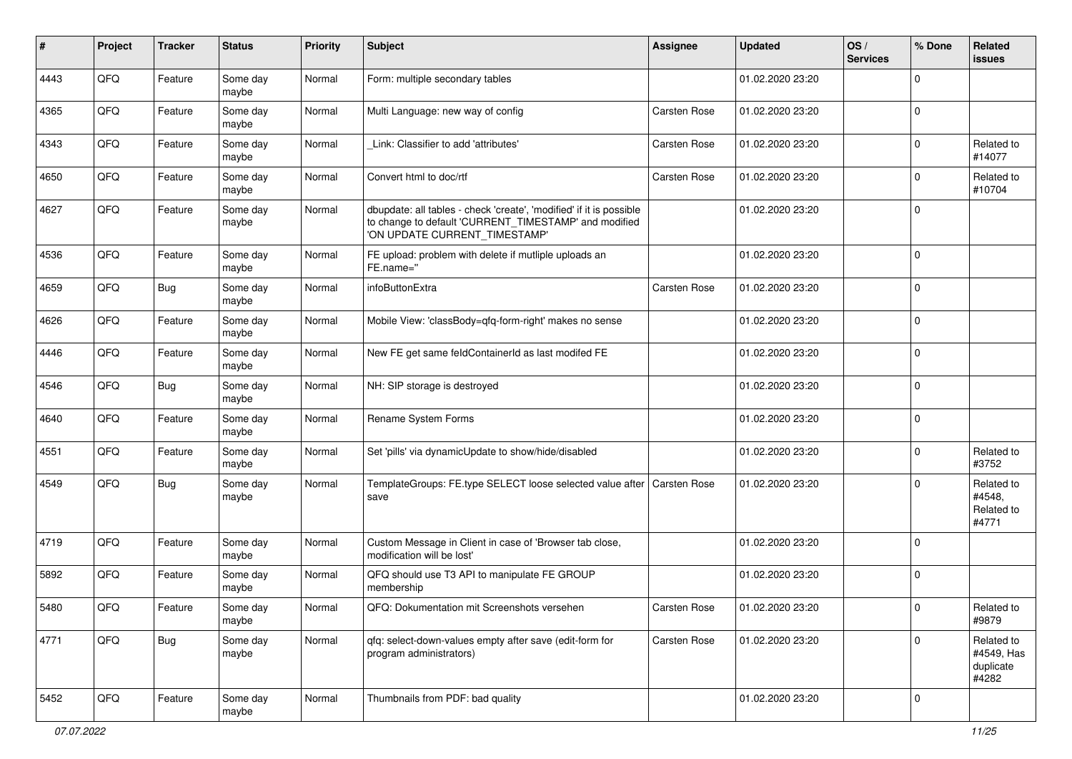| ∦    | Project | <b>Tracker</b> | <b>Status</b>     | <b>Priority</b> | <b>Subject</b>                                                                                                                                                | <b>Assignee</b>     | <b>Updated</b>   | OS/<br><b>Services</b> | % Done    | Related<br>issues                              |
|------|---------|----------------|-------------------|-----------------|---------------------------------------------------------------------------------------------------------------------------------------------------------------|---------------------|------------------|------------------------|-----------|------------------------------------------------|
| 4443 | QFQ     | Feature        | Some day<br>maybe | Normal          | Form: multiple secondary tables                                                                                                                               |                     | 01.02.2020 23:20 |                        | $\Omega$  |                                                |
| 4365 | QFQ     | Feature        | Some day<br>maybe | Normal          | Multi Language: new way of config                                                                                                                             | Carsten Rose        | 01.02.2020 23:20 |                        | $\Omega$  |                                                |
| 4343 | QFQ     | Feature        | Some day<br>maybe | Normal          | Link: Classifier to add 'attributes'                                                                                                                          | Carsten Rose        | 01.02.2020 23:20 |                        | $\Omega$  | Related to<br>#14077                           |
| 4650 | QFQ     | Feature        | Some day<br>maybe | Normal          | Convert html to doc/rtf                                                                                                                                       | <b>Carsten Rose</b> | 01.02.2020 23:20 |                        | $\Omega$  | Related to<br>#10704                           |
| 4627 | QFQ     | Feature        | Some day<br>maybe | Normal          | dbupdate: all tables - check 'create', 'modified' if it is possible<br>to change to default 'CURRENT_TIMESTAMP' and modified<br>'ON UPDATE CURRENT_TIMESTAMP' |                     | 01.02.2020 23:20 |                        | $\Omega$  |                                                |
| 4536 | QFQ     | Feature        | Some day<br>maybe | Normal          | FE upload: problem with delete if mutliple uploads an<br>FE.name="                                                                                            |                     | 01.02.2020 23:20 |                        | $\Omega$  |                                                |
| 4659 | QFQ     | Bug            | Some day<br>maybe | Normal          | infoButtonExtra                                                                                                                                               | Carsten Rose        | 01.02.2020 23:20 |                        | $\Omega$  |                                                |
| 4626 | QFQ     | Feature        | Some day<br>maybe | Normal          | Mobile View: 'classBody=qfq-form-right' makes no sense                                                                                                        |                     | 01.02.2020 23:20 |                        | $\Omega$  |                                                |
| 4446 | QFQ     | Feature        | Some day<br>maybe | Normal          | New FE get same feldContainerId as last modifed FE                                                                                                            |                     | 01.02.2020 23:20 |                        | $\Omega$  |                                                |
| 4546 | QFQ     | Bug            | Some day<br>maybe | Normal          | NH: SIP storage is destroyed                                                                                                                                  |                     | 01.02.2020 23:20 |                        | $\Omega$  |                                                |
| 4640 | QFQ     | Feature        | Some day<br>maybe | Normal          | Rename System Forms                                                                                                                                           |                     | 01.02.2020 23:20 |                        | $\Omega$  |                                                |
| 4551 | QFQ     | Feature        | Some day<br>maybe | Normal          | Set 'pills' via dynamicUpdate to show/hide/disabled                                                                                                           |                     | 01.02.2020 23:20 |                        | $\Omega$  | Related to<br>#3752                            |
| 4549 | QFQ     | <b>Bug</b>     | Some day<br>maybe | Normal          | TemplateGroups: FE.type SELECT loose selected value after<br>save                                                                                             | <b>Carsten Rose</b> | 01.02.2020 23:20 |                        | $\Omega$  | Related to<br>#4548,<br>Related to<br>#4771    |
| 4719 | QFQ     | Feature        | Some day<br>maybe | Normal          | Custom Message in Client in case of 'Browser tab close,<br>modification will be lost'                                                                         |                     | 01.02.2020 23:20 |                        | $\Omega$  |                                                |
| 5892 | QFQ     | Feature        | Some day<br>maybe | Normal          | QFQ should use T3 API to manipulate FE GROUP<br>membership                                                                                                    |                     | 01.02.2020 23:20 |                        | $\Omega$  |                                                |
| 5480 | QFG     | Feature        | Some day<br>maybe | Normal          | QFQ: Dokumentation mit Screenshots versehen                                                                                                                   | <b>Carsten Rose</b> | 01.02.2020 23:20 |                        | $\vert$ 0 | Related to<br>#9879                            |
| 4771 | QFQ     | Bug            | Some day<br>maybe | Normal          | qfq: select-down-values empty after save (edit-form for<br>program administrators)                                                                            | Carsten Rose        | 01.02.2020 23:20 |                        | $\Omega$  | Related to<br>#4549, Has<br>duplicate<br>#4282 |
| 5452 | QFG     | Feature        | Some day<br>maybe | Normal          | Thumbnails from PDF: bad quality                                                                                                                              |                     | 01.02.2020 23:20 |                        | 0         |                                                |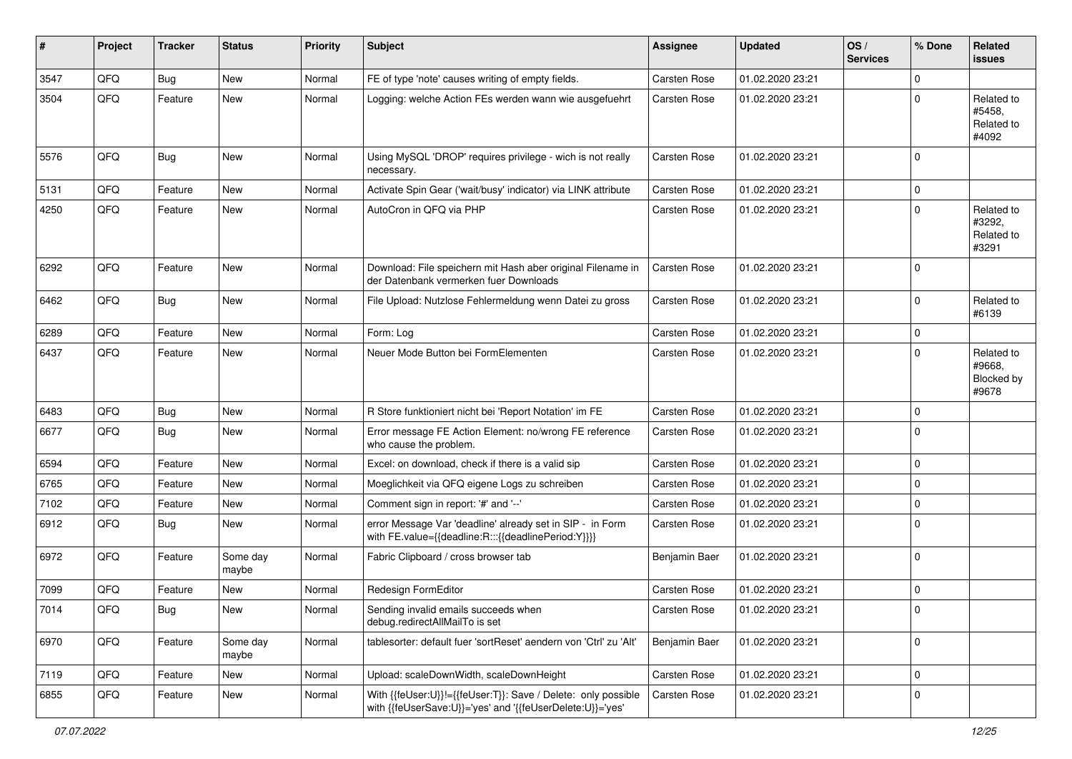| #    | Project | <b>Tracker</b> | <b>Status</b>     | <b>Priority</b> | <b>Subject</b>                                                                                                             | Assignee            | <b>Updated</b>   | OS/<br><b>Services</b> | % Done      | Related<br><b>issues</b>                    |
|------|---------|----------------|-------------------|-----------------|----------------------------------------------------------------------------------------------------------------------------|---------------------|------------------|------------------------|-------------|---------------------------------------------|
| 3547 | QFQ     | Bug            | New               | Normal          | FE of type 'note' causes writing of empty fields.                                                                          | Carsten Rose        | 01.02.2020 23:21 |                        | $\Omega$    |                                             |
| 3504 | QFQ     | Feature        | New               | Normal          | Logging: welche Action FEs werden wann wie ausgefuehrt                                                                     | Carsten Rose        | 01.02.2020 23:21 |                        | U           | Related to<br>#5458,<br>Related to<br>#4092 |
| 5576 | QFQ     | Bug            | New               | Normal          | Using MySQL 'DROP' requires privilege - wich is not really<br>necessary.                                                   | <b>Carsten Rose</b> | 01.02.2020 23:21 |                        | $\Omega$    |                                             |
| 5131 | QFQ     | Feature        | New               | Normal          | Activate Spin Gear ('wait/busy' indicator) via LINK attribute                                                              | <b>Carsten Rose</b> | 01.02.2020 23:21 |                        | 0           |                                             |
| 4250 | QFQ     | Feature        | New               | Normal          | AutoCron in QFQ via PHP                                                                                                    | Carsten Rose        | 01.02.2020 23:21 |                        | $\Omega$    | Related to<br>#3292,<br>Related to<br>#3291 |
| 6292 | QFQ     | Feature        | New               | Normal          | Download: File speichern mit Hash aber original Filename in<br>der Datenbank vermerken fuer Downloads                      | Carsten Rose        | 01.02.2020 23:21 |                        | $\Omega$    |                                             |
| 6462 | QFQ     | <b>Bug</b>     | New               | Normal          | File Upload: Nutzlose Fehlermeldung wenn Datei zu gross                                                                    | Carsten Rose        | 01.02.2020 23:21 |                        | $\Omega$    | Related to<br>#6139                         |
| 6289 | QFQ     | Feature        | New               | Normal          | Form: Log                                                                                                                  | <b>Carsten Rose</b> | 01.02.2020 23:21 |                        | $\mathbf 0$ |                                             |
| 6437 | QFQ     | Feature        | New               | Normal          | Neuer Mode Button bei FormElementen                                                                                        | Carsten Rose        | 01.02.2020 23:21 |                        | $\Omega$    | Related to<br>#9668.<br>Blocked by<br>#9678 |
| 6483 | QFQ     | <b>Bug</b>     | New               | Normal          | R Store funktioniert nicht bei 'Report Notation' im FE                                                                     | Carsten Rose        | 01.02.2020 23:21 |                        | $\Omega$    |                                             |
| 6677 | QFQ     | Bug            | New               | Normal          | Error message FE Action Element: no/wrong FE reference<br>who cause the problem.                                           | Carsten Rose        | 01.02.2020 23:21 |                        | $\Omega$    |                                             |
| 6594 | QFQ     | Feature        | New               | Normal          | Excel: on download, check if there is a valid sip                                                                          | Carsten Rose        | 01.02.2020 23:21 |                        | $\Omega$    |                                             |
| 6765 | QFQ     | Feature        | New               | Normal          | Moeglichkeit via QFQ eigene Logs zu schreiben                                                                              | Carsten Rose        | 01.02.2020 23:21 |                        | 0           |                                             |
| 7102 | QFQ     | Feature        | New               | Normal          | Comment sign in report: '#' and '--'                                                                                       | Carsten Rose        | 01.02.2020 23:21 |                        | 0           |                                             |
| 6912 | QFQ     | Bug            | New               | Normal          | error Message Var 'deadline' already set in SIP - in Form<br>with FE.value={{deadline:R:::{{deadlinePeriod:Y}}}}           | <b>Carsten Rose</b> | 01.02.2020 23:21 |                        | $\Omega$    |                                             |
| 6972 | QFQ     | Feature        | Some day<br>maybe | Normal          | Fabric Clipboard / cross browser tab                                                                                       | Benjamin Baer       | 01.02.2020 23:21 |                        | $\Omega$    |                                             |
| 7099 | QFQ     | Feature        | New               | Normal          | Redesign FormEditor                                                                                                        | Carsten Rose        | 01.02.2020 23:21 |                        | $\mathbf 0$ |                                             |
| 7014 | QFQ     | <b>Bug</b>     | New               | Normal          | Sending invalid emails succeeds when<br>debug.redirectAllMailTo is set                                                     | Carsten Rose        | 01.02.2020 23:21 |                        | ΙU          |                                             |
| 6970 | QFQ     | Feature        | Some day<br>maybe | Normal          | tablesorter: default fuer 'sortReset' aendern von 'Ctrl' zu 'Alt'                                                          | Benjamin Baer       | 01.02.2020 23:21 |                        | $\mathbf 0$ |                                             |
| 7119 | QFQ     | Feature        | New               | Normal          | Upload: scaleDownWidth, scaleDownHeight                                                                                    | Carsten Rose        | 01.02.2020 23:21 |                        | $\mathbf 0$ |                                             |
| 6855 | QFQ     | Feature        | New               | Normal          | With {{feUser:U}}!={{feUser:T}}: Save / Delete: only possible<br>with {{feUserSave:U}}='yes' and '{{feUserDelete:U}}='yes' | Carsten Rose        | 01.02.2020 23:21 |                        | 0           |                                             |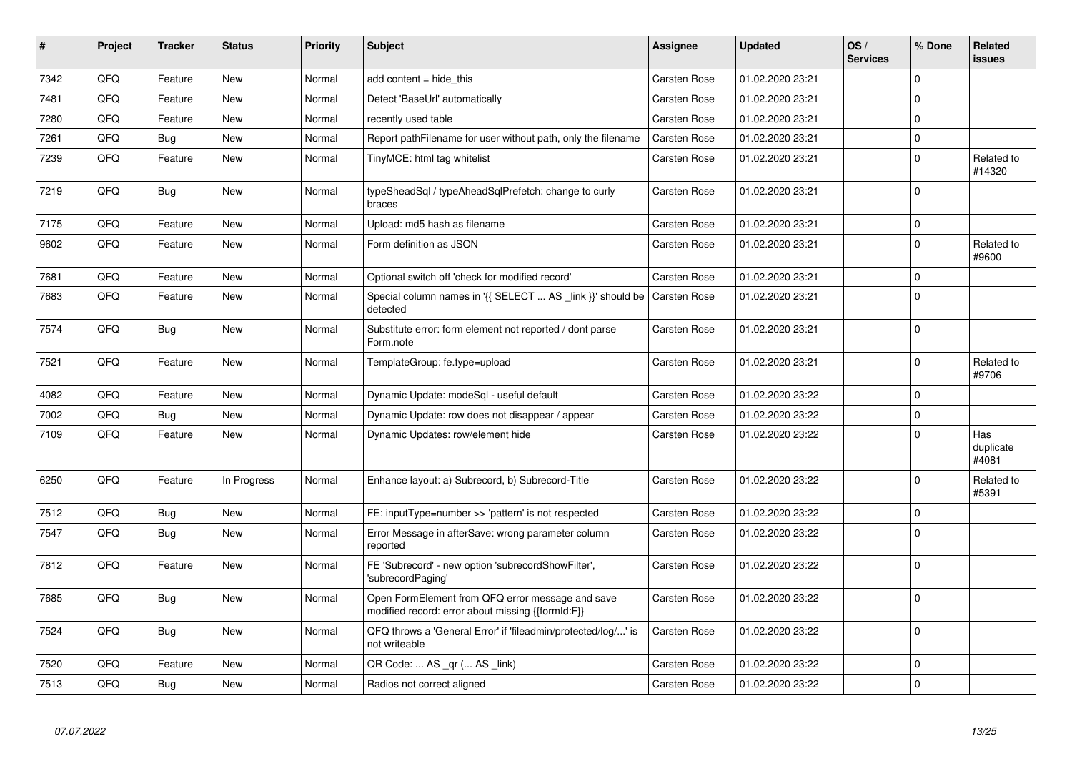| #    | Project | <b>Tracker</b> | <b>Status</b> | <b>Priority</b> | <b>Subject</b>                                                                                        | Assignee            | <b>Updated</b>   | OS/<br><b>Services</b> | % Done         | Related<br>issues         |
|------|---------|----------------|---------------|-----------------|-------------------------------------------------------------------------------------------------------|---------------------|------------------|------------------------|----------------|---------------------------|
| 7342 | QFQ     | Feature        | <b>New</b>    | Normal          | add content = hide this                                                                               | Carsten Rose        | 01.02.2020 23:21 |                        | $\Omega$       |                           |
| 7481 | QFQ     | Feature        | New           | Normal          | Detect 'BaseUrl' automatically                                                                        | Carsten Rose        | 01.02.2020 23:21 |                        | $\Omega$       |                           |
| 7280 | QFQ     | Feature        | New           | Normal          | recently used table                                                                                   | Carsten Rose        | 01.02.2020 23:21 |                        | $\mathbf 0$    |                           |
| 7261 | QFQ     | <b>Bug</b>     | <b>New</b>    | Normal          | Report pathFilename for user without path, only the filename                                          | <b>Carsten Rose</b> | 01.02.2020 23:21 |                        | $\Omega$       |                           |
| 7239 | QFQ     | Feature        | New           | Normal          | TinyMCE: html tag whitelist                                                                           | Carsten Rose        | 01.02.2020 23:21 |                        | $\mathbf 0$    | Related to<br>#14320      |
| 7219 | QFQ     | <b>Bug</b>     | New           | Normal          | typeSheadSql / typeAheadSqlPrefetch: change to curly<br>braces                                        | Carsten Rose        | 01.02.2020 23:21 |                        | $\mathbf 0$    |                           |
| 7175 | QFQ     | Feature        | New           | Normal          | Upload: md5 hash as filename                                                                          | <b>Carsten Rose</b> | 01.02.2020 23:21 |                        | $\mathbf 0$    |                           |
| 9602 | QFQ     | Feature        | New           | Normal          | Form definition as JSON                                                                               | Carsten Rose        | 01.02.2020 23:21 |                        | $\Omega$       | Related to<br>#9600       |
| 7681 | QFQ     | Feature        | New           | Normal          | Optional switch off 'check for modified record'                                                       | <b>Carsten Rose</b> | 01.02.2020 23:21 |                        | $\Omega$       |                           |
| 7683 | QFQ     | Feature        | New           | Normal          | Special column names in '{{ SELECT  AS _link }}' should be<br>detected                                | <b>Carsten Rose</b> | 01.02.2020 23:21 |                        | $\mathbf 0$    |                           |
| 7574 | QFQ     | Bug            | New           | Normal          | Substitute error: form element not reported / dont parse<br>Form.note                                 | Carsten Rose        | 01.02.2020 23:21 |                        | $\Omega$       |                           |
| 7521 | QFQ     | Feature        | New           | Normal          | TemplateGroup: fe.type=upload                                                                         | Carsten Rose        | 01.02.2020 23:21 |                        | $\Omega$       | Related to<br>#9706       |
| 4082 | QFQ     | Feature        | New           | Normal          | Dynamic Update: modeSql - useful default                                                              | Carsten Rose        | 01.02.2020 23:22 |                        | $\Omega$       |                           |
| 7002 | QFQ     | Bug            | New           | Normal          | Dynamic Update: row does not disappear / appear                                                       | Carsten Rose        | 01.02.2020 23:22 |                        | $\Omega$       |                           |
| 7109 | QFQ     | Feature        | New           | Normal          | Dynamic Updates: row/element hide                                                                     | Carsten Rose        | 01.02.2020 23:22 |                        | $\Omega$       | Has<br>duplicate<br>#4081 |
| 6250 | QFQ     | Feature        | In Progress   | Normal          | Enhance layout: a) Subrecord, b) Subrecord-Title                                                      | Carsten Rose        | 01.02.2020 23:22 |                        | $\Omega$       | Related to<br>#5391       |
| 7512 | QFQ     | Bug            | New           | Normal          | FE: inputType=number >> 'pattern' is not respected                                                    | Carsten Rose        | 01.02.2020 23:22 |                        | $\mathbf 0$    |                           |
| 7547 | QFQ     | Bug            | <b>New</b>    | Normal          | Error Message in afterSave: wrong parameter column<br>reported                                        | Carsten Rose        | 01.02.2020 23:22 |                        | $\Omega$       |                           |
| 7812 | QFQ     | Feature        | New           | Normal          | FE 'Subrecord' - new option 'subrecordShowFilter',<br>'subrecordPaging'                               | Carsten Rose        | 01.02.2020 23:22 |                        | $\overline{0}$ |                           |
| 7685 | QFQ     | Bug            | New           | Normal          | Open FormElement from QFQ error message and save<br>modified record: error about missing {{formId:F}} | Carsten Rose        | 01.02.2020 23:22 |                        | $\Omega$       |                           |
| 7524 | QFQ     | Bug            | New           | Normal          | QFQ throws a 'General Error' if 'fileadmin/protected/log/' is<br>not writeable                        | Carsten Rose        | 01.02.2020 23:22 |                        | $\overline{0}$ |                           |
| 7520 | QFQ     | Feature        | New           | Normal          | QR Code:  AS _qr ( AS _link)                                                                          | Carsten Rose        | 01.02.2020 23:22 |                        | $\Omega$       |                           |
| 7513 | QFQ     | <b>Bug</b>     | New           | Normal          | Radios not correct aligned                                                                            | Carsten Rose        | 01.02.2020 23:22 |                        | $\overline{0}$ |                           |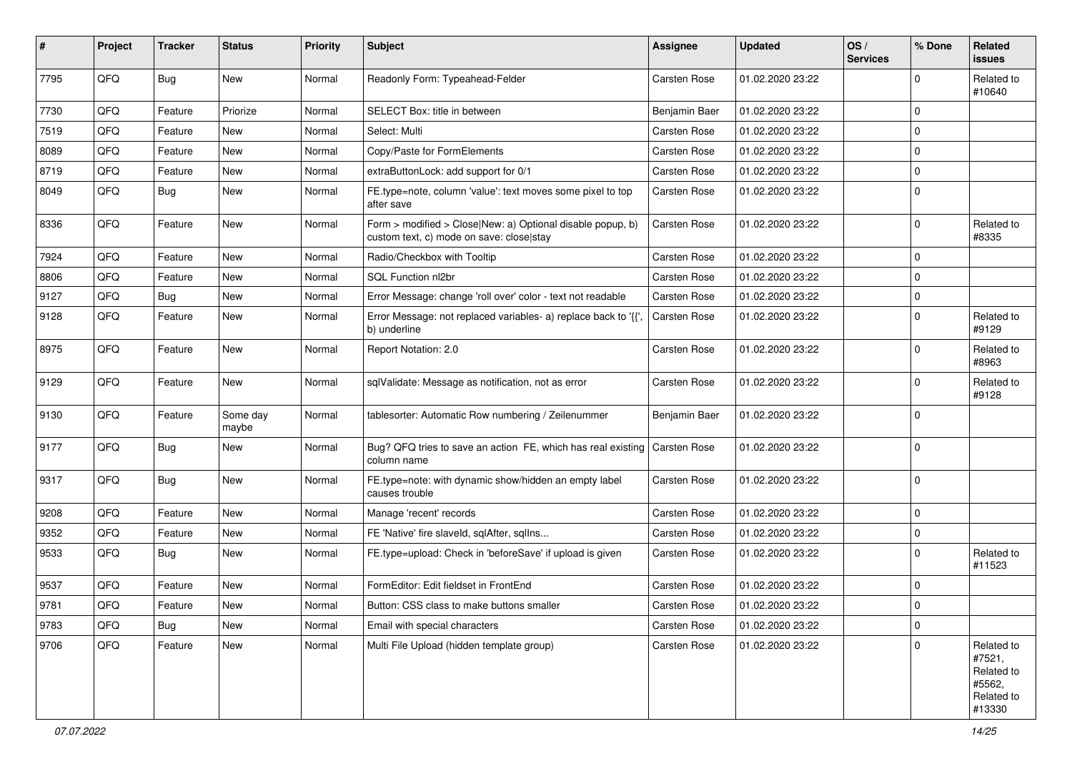| #    | Project | <b>Tracker</b> | <b>Status</b>     | <b>Priority</b> | <b>Subject</b>                                                                                         | Assignee            | <b>Updated</b>   | OS/<br><b>Services</b> | % Done      | Related<br>issues                                                    |
|------|---------|----------------|-------------------|-----------------|--------------------------------------------------------------------------------------------------------|---------------------|------------------|------------------------|-------------|----------------------------------------------------------------------|
| 7795 | QFQ     | <b>Bug</b>     | New               | Normal          | Readonly Form: Typeahead-Felder                                                                        | Carsten Rose        | 01.02.2020 23:22 |                        | $\Omega$    | Related to<br>#10640                                                 |
| 7730 | QFQ     | Feature        | Priorize          | Normal          | SELECT Box: title in between                                                                           | Benjamin Baer       | 01.02.2020 23:22 |                        | $\mathbf 0$ |                                                                      |
| 7519 | QFQ     | Feature        | New               | Normal          | Select: Multi                                                                                          | Carsten Rose        | 01.02.2020 23:22 |                        | $\Omega$    |                                                                      |
| 8089 | QFQ     | Feature        | New               | Normal          | Copy/Paste for FormElements                                                                            | Carsten Rose        | 01.02.2020 23:22 |                        | $\mathbf 0$ |                                                                      |
| 8719 | QFQ     | Feature        | New               | Normal          | extraButtonLock: add support for 0/1                                                                   | Carsten Rose        | 01.02.2020 23:22 |                        | $\mathbf 0$ |                                                                      |
| 8049 | QFQ     | Bug            | New               | Normal          | FE.type=note, column 'value': text moves some pixel to top<br>after save                               | Carsten Rose        | 01.02.2020 23:22 |                        | $\Omega$    |                                                                      |
| 8336 | QFQ     | Feature        | New               | Normal          | Form > modified > Close New: a) Optional disable popup, b)<br>custom text, c) mode on save: close stay | Carsten Rose        | 01.02.2020 23:22 |                        | $\mathbf 0$ | Related to<br>#8335                                                  |
| 7924 | QFQ     | Feature        | New               | Normal          | Radio/Checkbox with Tooltip                                                                            | Carsten Rose        | 01.02.2020 23:22 |                        | $\Omega$    |                                                                      |
| 8806 | QFQ     | Feature        | New               | Normal          | SQL Function nl2br                                                                                     | Carsten Rose        | 01.02.2020 23:22 |                        | $\Omega$    |                                                                      |
| 9127 | QFQ     | <b>Bug</b>     | New               | Normal          | Error Message: change 'roll over' color - text not readable                                            | Carsten Rose        | 01.02.2020 23:22 |                        | $\mathbf 0$ |                                                                      |
| 9128 | QFQ     | Feature        | New               | Normal          | Error Message: not replaced variables- a) replace back to '{'<br>b) underline                          | Carsten Rose        | 01.02.2020 23:22 |                        | $\Omega$    | Related to<br>#9129                                                  |
| 8975 | QFQ     | Feature        | New               | Normal          | Report Notation: 2.0                                                                                   | Carsten Rose        | 01.02.2020 23:22 |                        | $\Omega$    | Related to<br>#8963                                                  |
| 9129 | QFQ     | Feature        | New               | Normal          | sqlValidate: Message as notification, not as error                                                     | <b>Carsten Rose</b> | 01.02.2020 23:22 |                        | $\Omega$    | Related to<br>#9128                                                  |
| 9130 | QFQ     | Feature        | Some day<br>maybe | Normal          | tablesorter: Automatic Row numbering / Zeilenummer                                                     | Benjamin Baer       | 01.02.2020 23:22 |                        | $\mathbf 0$ |                                                                      |
| 9177 | QFQ     | Bug            | New               | Normal          | Bug? QFQ tries to save an action FE, which has real existing<br>column name                            | Carsten Rose        | 01.02.2020 23:22 |                        | $\mathbf 0$ |                                                                      |
| 9317 | QFQ     | <b>Bug</b>     | New               | Normal          | FE.type=note: with dynamic show/hidden an empty label<br>causes trouble                                | Carsten Rose        | 01.02.2020 23:22 |                        | $\Omega$    |                                                                      |
| 9208 | QFQ     | Feature        | New               | Normal          | Manage 'recent' records                                                                                | Carsten Rose        | 01.02.2020 23:22 |                        | $\mathbf 0$ |                                                                      |
| 9352 | QFQ     | Feature        | New               | Normal          | FE 'Native' fire slaveld, sqlAfter, sqlIns                                                             | <b>Carsten Rose</b> | 01.02.2020 23:22 |                        | 0           |                                                                      |
| 9533 | QFQ     | Bug            | New               | Normal          | FE.type=upload: Check in 'beforeSave' if upload is given                                               | Carsten Rose        | 01.02.2020 23:22 |                        | 0           | Related to<br>#11523                                                 |
| 9537 | QFQ     | Feature        | New               | Normal          | FormEditor: Edit fieldset in FrontEnd                                                                  | Carsten Rose        | 01.02.2020 23:22 |                        | $\mathbf 0$ |                                                                      |
| 9781 | QFQ     | Feature        | New               | Normal          | Button: CSS class to make buttons smaller                                                              | Carsten Rose        | 01.02.2020 23:22 |                        | 0           |                                                                      |
| 9783 | QFQ     | <b>Bug</b>     | New               | Normal          | Email with special characters                                                                          | Carsten Rose        | 01.02.2020 23:22 |                        | $\mathbf 0$ |                                                                      |
| 9706 | QFQ     | Feature        | New               | Normal          | Multi File Upload (hidden template group)                                                              | Carsten Rose        | 01.02.2020 23:22 |                        | $\mathbf 0$ | Related to<br>#7521,<br>Related to<br>#5562,<br>Related to<br>#13330 |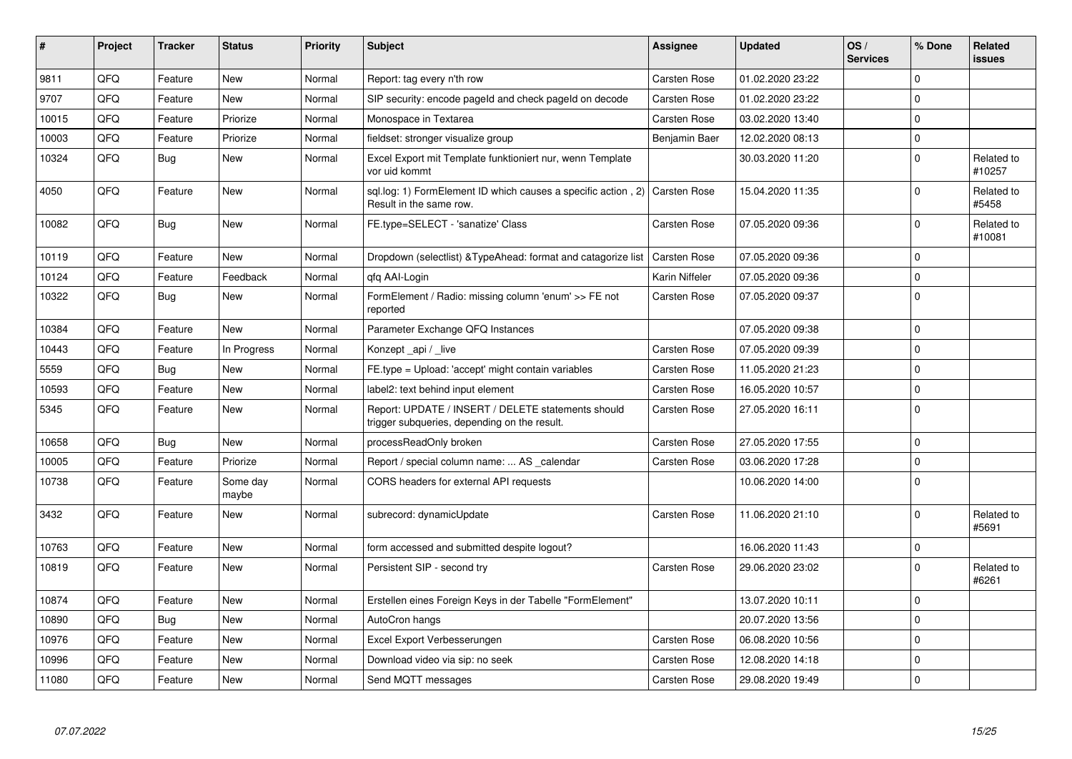| #     | Project | <b>Tracker</b> | <b>Status</b>     | <b>Priority</b> | <b>Subject</b>                                                                                     | Assignee            | <b>Updated</b>   | OS/<br><b>Services</b> | % Done      | Related<br>issues    |
|-------|---------|----------------|-------------------|-----------------|----------------------------------------------------------------------------------------------------|---------------------|------------------|------------------------|-------------|----------------------|
| 9811  | QFQ     | Feature        | New               | Normal          | Report: tag every n'th row                                                                         | Carsten Rose        | 01.02.2020 23:22 |                        | $\mathbf 0$ |                      |
| 9707  | QFQ     | Feature        | New               | Normal          | SIP security: encode pageld and check pageld on decode                                             | Carsten Rose        | 01.02.2020 23:22 |                        | $\Omega$    |                      |
| 10015 | QFQ     | Feature        | Priorize          | Normal          | Monospace in Textarea                                                                              | Carsten Rose        | 03.02.2020 13:40 |                        | $\Omega$    |                      |
| 10003 | QFQ     | Feature        | Priorize          | Normal          | fieldset: stronger visualize group                                                                 | Benjamin Baer       | 12.02.2020 08:13 |                        | 0           |                      |
| 10324 | QFQ     | Bug            | <b>New</b>        | Normal          | Excel Export mit Template funktioniert nur, wenn Template<br>vor uid kommt                         |                     | 30.03.2020 11:20 |                        | $\Omega$    | Related to<br>#10257 |
| 4050  | QFQ     | Feature        | <b>New</b>        | Normal          | sql.log: 1) FormElement ID which causes a specific action, 2)<br>Result in the same row.           | Carsten Rose        | 15.04.2020 11:35 |                        | $\Omega$    | Related to<br>#5458  |
| 10082 | QFQ     | Bug            | <b>New</b>        | Normal          | FE.type=SELECT - 'sanatize' Class                                                                  | Carsten Rose        | 07.05.2020 09:36 |                        | $\Omega$    | Related to<br>#10081 |
| 10119 | QFQ     | Feature        | New               | Normal          | Dropdown (selectlist) & Type Ahead: format and catagorize list                                     | <b>Carsten Rose</b> | 07.05.2020 09:36 |                        | $\mathbf 0$ |                      |
| 10124 | QFQ     | Feature        | Feedback          | Normal          | gfg AAI-Login                                                                                      | Karin Niffeler      | 07.05.2020 09:36 |                        | $\Omega$    |                      |
| 10322 | QFQ     | <b>Bug</b>     | New               | Normal          | FormElement / Radio: missing column 'enum' >> FE not<br>reported                                   | Carsten Rose        | 07.05.2020 09:37 |                        | $\mathbf 0$ |                      |
| 10384 | QFQ     | Feature        | <b>New</b>        | Normal          | Parameter Exchange QFQ Instances                                                                   |                     | 07.05.2020 09:38 |                        | $\Omega$    |                      |
| 10443 | QFQ     | Feature        | In Progress       | Normal          | Konzept _api / _live                                                                               | Carsten Rose        | 07.05.2020 09:39 |                        | 0           |                      |
| 5559  | QFQ     | Bug            | <b>New</b>        | Normal          | FE.type = Upload: 'accept' might contain variables                                                 | Carsten Rose        | 11.05.2020 21:23 |                        | $\Omega$    |                      |
| 10593 | QFQ     | Feature        | New               | Normal          | label2: text behind input element                                                                  | Carsten Rose        | 16.05.2020 10:57 |                        | $\Omega$    |                      |
| 5345  | QFQ     | Feature        | <b>New</b>        | Normal          | Report: UPDATE / INSERT / DELETE statements should<br>trigger subqueries, depending on the result. | Carsten Rose        | 27.05.2020 16:11 |                        | $\Omega$    |                      |
| 10658 | QFQ     | Bug            | New               | Normal          | processReadOnly broken                                                                             | Carsten Rose        | 27.05.2020 17:55 |                        | $\Omega$    |                      |
| 10005 | QFQ     | Feature        | Priorize          | Normal          | Report / special column name:  AS _calendar                                                        | <b>Carsten Rose</b> | 03.06.2020 17:28 |                        | $\Omega$    |                      |
| 10738 | QFQ     | Feature        | Some day<br>maybe | Normal          | CORS headers for external API requests                                                             |                     | 10.06.2020 14:00 |                        | $\Omega$    |                      |
| 3432  | QFQ     | Feature        | New               | Normal          | subrecord: dynamicUpdate                                                                           | Carsten Rose        | 11.06.2020 21:10 |                        | $\Omega$    | Related to<br>#5691  |
| 10763 | QFQ     | Feature        | <b>New</b>        | Normal          | form accessed and submitted despite logout?                                                        |                     | 16.06.2020 11:43 |                        | $\mathbf 0$ |                      |
| 10819 | QFQ     | Feature        | New               | Normal          | Persistent SIP - second try                                                                        | Carsten Rose        | 29.06.2020 23:02 |                        | $\Omega$    | Related to<br>#6261  |
| 10874 | QFQ     | Feature        | New               | Normal          | Erstellen eines Foreign Keys in der Tabelle "FormElement"                                          |                     | 13.07.2020 10:11 |                        | $\mathbf 0$ |                      |
| 10890 | QFQ     | Bug            | New               | Normal          | AutoCron hangs                                                                                     |                     | 20.07.2020 13:56 |                        | $\Omega$    |                      |
| 10976 | QFQ     | Feature        | New               | Normal          | Excel Export Verbesserungen                                                                        | Carsten Rose        | 06.08.2020 10:56 |                        | $\Omega$    |                      |
| 10996 | QFQ     | Feature        | New               | Normal          | Download video via sip: no seek                                                                    | Carsten Rose        | 12.08.2020 14:18 |                        | $\mathbf 0$ |                      |
| 11080 | QFQ     | Feature        | New               | Normal          | Send MQTT messages                                                                                 | Carsten Rose        | 29.08.2020 19:49 |                        | $\Omega$    |                      |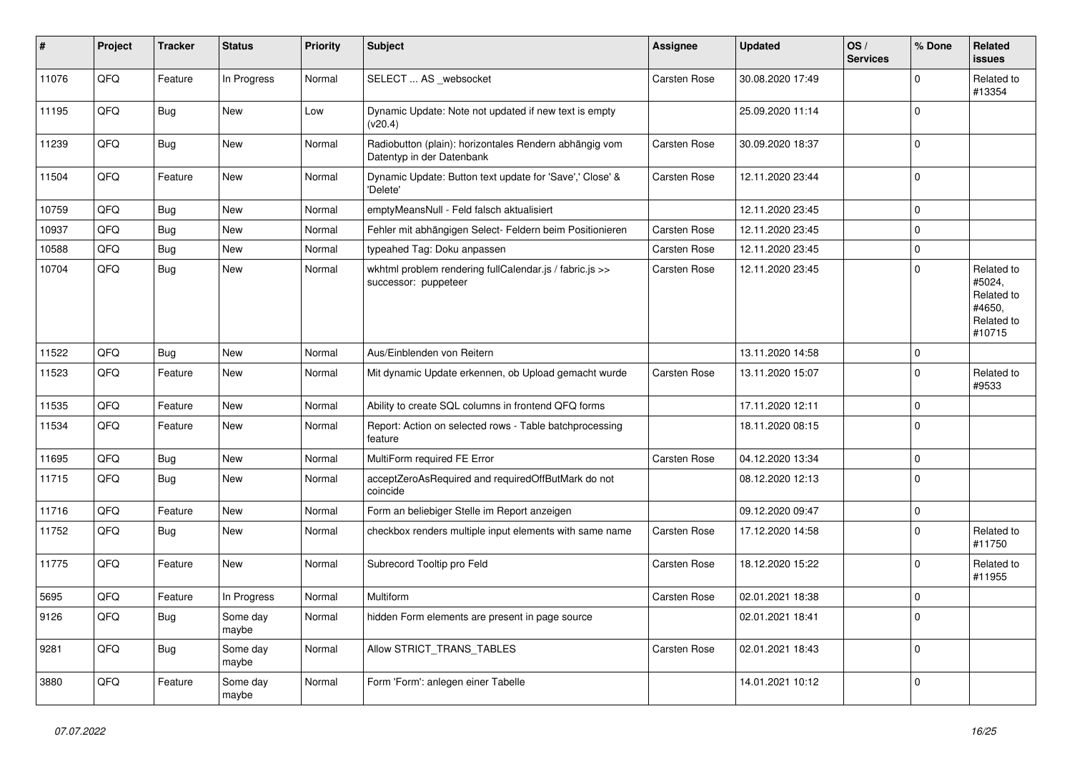| #     | Project | <b>Tracker</b> | <b>Status</b>     | <b>Priority</b> | <b>Subject</b>                                                                      | <b>Assignee</b>     | <b>Updated</b>   | OS/<br><b>Services</b> | % Done      | Related<br>issues                                                    |
|-------|---------|----------------|-------------------|-----------------|-------------------------------------------------------------------------------------|---------------------|------------------|------------------------|-------------|----------------------------------------------------------------------|
| 11076 | QFQ     | Feature        | In Progress       | Normal          | SELECT  AS _websocket                                                               | Carsten Rose        | 30.08.2020 17:49 |                        | $\Omega$    | Related to<br>#13354                                                 |
| 11195 | QFQ     | Bug            | New               | Low             | Dynamic Update: Note not updated if new text is empty<br>(v20.4)                    |                     | 25.09.2020 11:14 |                        | $\Omega$    |                                                                      |
| 11239 | QFQ     | Bug            | New               | Normal          | Radiobutton (plain): horizontales Rendern abhängig vom<br>Datentyp in der Datenbank | Carsten Rose        | 30.09.2020 18:37 |                        | $\Omega$    |                                                                      |
| 11504 | QFQ     | Feature        | <b>New</b>        | Normal          | Dynamic Update: Button text update for 'Save',' Close' &<br>'Delete'                | <b>Carsten Rose</b> | 12.11.2020 23:44 |                        | $\Omega$    |                                                                      |
| 10759 | QFQ     | Bug            | New               | Normal          | emptyMeansNull - Feld falsch aktualisiert                                           |                     | 12.11.2020 23:45 |                        | $\Omega$    |                                                                      |
| 10937 | QFQ     | <b>Bug</b>     | New               | Normal          | Fehler mit abhängigen Select- Feldern beim Positionieren                            | Carsten Rose        | 12.11.2020 23:45 |                        | $\Omega$    |                                                                      |
| 10588 | QFQ     | <b>Bug</b>     | New               | Normal          | typeahed Tag: Doku anpassen                                                         | Carsten Rose        | 12.11.2020 23:45 |                        | $\Omega$    |                                                                      |
| 10704 | QFQ     | Bug            | <b>New</b>        | Normal          | wkhtml problem rendering fullCalendar.js / fabric.js >><br>successor: puppeteer     | Carsten Rose        | 12.11.2020 23:45 |                        | $\Omega$    | Related to<br>#5024,<br>Related to<br>#4650,<br>Related to<br>#10715 |
| 11522 | QFQ     | <b>Bug</b>     | <b>New</b>        | Normal          | Aus/Einblenden von Reitern                                                          |                     | 13.11.2020 14:58 |                        | $\Omega$    |                                                                      |
| 11523 | QFQ     | Feature        | New               | Normal          | Mit dynamic Update erkennen, ob Upload gemacht wurde                                | Carsten Rose        | 13.11.2020 15:07 |                        | $\Omega$    | Related to<br>#9533                                                  |
| 11535 | QFQ     | Feature        | <b>New</b>        | Normal          | Ability to create SQL columns in frontend QFQ forms                                 |                     | 17.11.2020 12:11 |                        | $\mathbf 0$ |                                                                      |
| 11534 | QFQ     | Feature        | New               | Normal          | Report: Action on selected rows - Table batchprocessing<br>feature                  |                     | 18.11.2020 08:15 |                        | $\Omega$    |                                                                      |
| 11695 | QFQ     | Bug            | New               | Normal          | MultiForm required FE Error                                                         | Carsten Rose        | 04.12.2020 13:34 |                        | $\Omega$    |                                                                      |
| 11715 | QFQ     | <b>Bug</b>     | New               | Normal          | acceptZeroAsRequired and requiredOffButMark do not<br>coincide                      |                     | 08.12.2020 12:13 |                        | $\Omega$    |                                                                      |
| 11716 | QFQ     | Feature        | New               | Normal          | Form an beliebiger Stelle im Report anzeigen                                        |                     | 09.12.2020 09:47 |                        | $\mathbf 0$ |                                                                      |
| 11752 | QFQ     | Bug            | New               | Normal          | checkbox renders multiple input elements with same name                             | Carsten Rose        | 17.12.2020 14:58 |                        | $\Omega$    | Related to<br>#11750                                                 |
| 11775 | QFQ     | Feature        | New               | Normal          | Subrecord Tooltip pro Feld                                                          | Carsten Rose        | 18.12.2020 15:22 |                        | $\Omega$    | Related to<br>#11955                                                 |
| 5695  | QFQ     | Feature        | In Progress       | Normal          | Multiform                                                                           | Carsten Rose        | 02.01.2021 18:38 |                        | $\Omega$    |                                                                      |
| 9126  | QFQ     | <b>Bug</b>     | Some day<br>maybe | Normal          | hidden Form elements are present in page source                                     |                     | 02.01.2021 18:41 |                        | $\Omega$    |                                                                      |
| 9281  | QFQ     | <b>Bug</b>     | Some day<br>maybe | Normal          | Allow STRICT TRANS TABLES                                                           | Carsten Rose        | 02.01.2021 18:43 |                        | $\Omega$    |                                                                      |
| 3880  | QFQ     | Feature        | Some day<br>maybe | Normal          | Form 'Form': anlegen einer Tabelle                                                  |                     | 14.01.2021 10:12 |                        | $\Omega$    |                                                                      |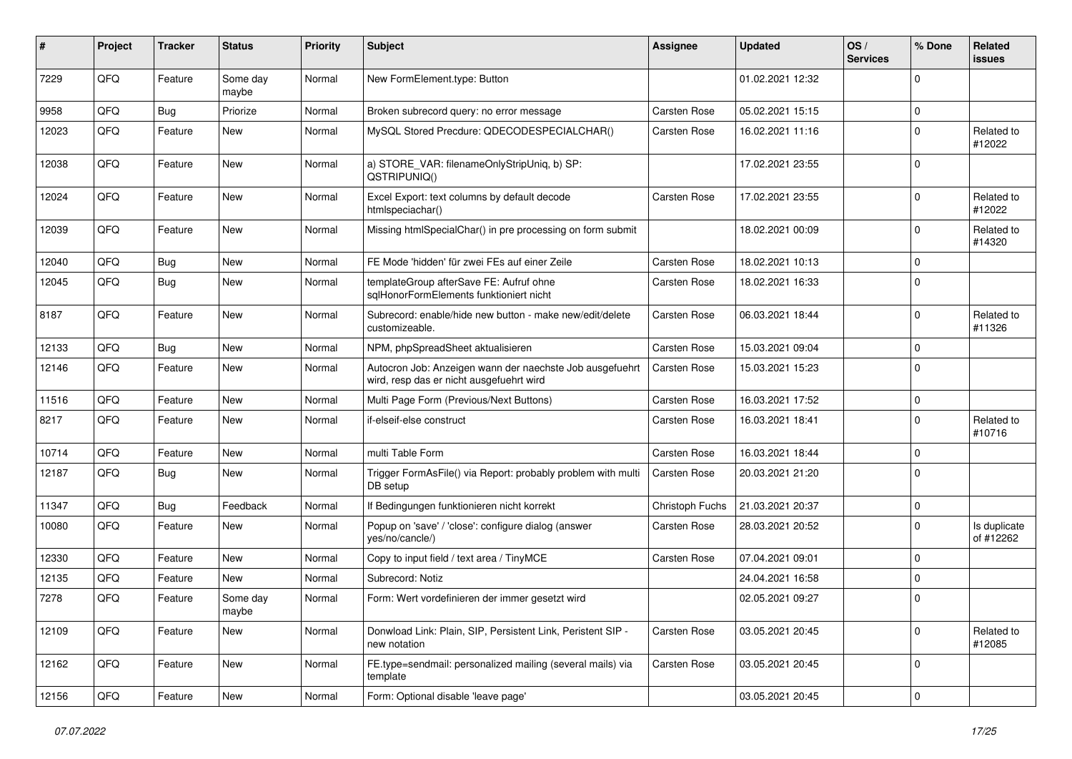| #     | Project | <b>Tracker</b> | <b>Status</b>     | <b>Priority</b> | <b>Subject</b>                                                                                       | <b>Assignee</b>     | <b>Updated</b>   | OS/<br><b>Services</b> | % Done      | Related<br>issues         |
|-------|---------|----------------|-------------------|-----------------|------------------------------------------------------------------------------------------------------|---------------------|------------------|------------------------|-------------|---------------------------|
| 7229  | QFQ     | Feature        | Some day<br>maybe | Normal          | New FormElement.type: Button                                                                         |                     | 01.02.2021 12:32 |                        | $\Omega$    |                           |
| 9958  | QFQ     | Bug            | Priorize          | Normal          | Broken subrecord query: no error message                                                             | <b>Carsten Rose</b> | 05.02.2021 15:15 |                        | $\mathbf 0$ |                           |
| 12023 | QFQ     | Feature        | <b>New</b>        | Normal          | MySQL Stored Precdure: QDECODESPECIALCHAR()                                                          | Carsten Rose        | 16.02.2021 11:16 |                        | $\Omega$    | Related to<br>#12022      |
| 12038 | QFQ     | Feature        | <b>New</b>        | Normal          | a) STORE_VAR: filenameOnlyStripUniq, b) SP:<br>QSTRIPUNIQ()                                          |                     | 17.02.2021 23:55 |                        | $\Omega$    |                           |
| 12024 | QFQ     | Feature        | <b>New</b>        | Normal          | Excel Export: text columns by default decode<br>htmlspeciachar()                                     | Carsten Rose        | 17.02.2021 23:55 |                        | $\Omega$    | Related to<br>#12022      |
| 12039 | QFQ     | Feature        | <b>New</b>        | Normal          | Missing htmlSpecialChar() in pre processing on form submit                                           |                     | 18.02.2021 00:09 |                        | $\Omega$    | Related to<br>#14320      |
| 12040 | QFQ     | Bug            | <b>New</b>        | Normal          | FE Mode 'hidden' für zwei FEs auf einer Zeile                                                        | Carsten Rose        | 18.02.2021 10:13 |                        | $\mathbf 0$ |                           |
| 12045 | QFQ     | Bug            | New               | Normal          | templateGroup afterSave FE: Aufruf ohne<br>sqlHonorFormElements funktioniert nicht                   | Carsten Rose        | 18.02.2021 16:33 |                        | $\mathbf 0$ |                           |
| 8187  | QFQ     | Feature        | <b>New</b>        | Normal          | Subrecord: enable/hide new button - make new/edit/delete<br>customizeable.                           | Carsten Rose        | 06.03.2021 18:44 |                        | $\Omega$    | Related to<br>#11326      |
| 12133 | QFQ     | Bug            | <b>New</b>        | Normal          | NPM, phpSpreadSheet aktualisieren                                                                    | Carsten Rose        | 15.03.2021 09:04 |                        | $\mathbf 0$ |                           |
| 12146 | QFQ     | Feature        | New               | Normal          | Autocron Job: Anzeigen wann der naechste Job ausgefuehrt<br>wird, resp das er nicht ausgefuehrt wird | Carsten Rose        | 15.03.2021 15:23 |                        | $\Omega$    |                           |
| 11516 | QFQ     | Feature        | <b>New</b>        | Normal          | Multi Page Form (Previous/Next Buttons)                                                              | Carsten Rose        | 16.03.2021 17:52 |                        | 0           |                           |
| 8217  | QFQ     | Feature        | <b>New</b>        | Normal          | if-elseif-else construct                                                                             | Carsten Rose        | 16.03.2021 18:41 |                        | $\Omega$    | Related to<br>#10716      |
| 10714 | QFQ     | Feature        | <b>New</b>        | Normal          | multi Table Form                                                                                     | Carsten Rose        | 16.03.2021 18:44 |                        | 0           |                           |
| 12187 | QFQ     | Bug            | New               | Normal          | Trigger FormAsFile() via Report: probably problem with multi<br>DB setup                             | Carsten Rose        | 20.03.2021 21:20 |                        | $\Omega$    |                           |
| 11347 | QFQ     | Bug            | Feedback          | Normal          | If Bedingungen funktionieren nicht korrekt                                                           | Christoph Fuchs     | 21.03.2021 20:37 |                        | $\mathbf 0$ |                           |
| 10080 | QFQ     | Feature        | New               | Normal          | Popup on 'save' / 'close': configure dialog (answer<br>yes/no/cancle/)                               | Carsten Rose        | 28.03.2021 20:52 |                        | $\Omega$    | Is duplicate<br>of #12262 |
| 12330 | QFQ     | Feature        | <b>New</b>        | Normal          | Copy to input field / text area / TinyMCE                                                            | <b>Carsten Rose</b> | 07.04.2021 09:01 |                        | $\mathbf 0$ |                           |
| 12135 | QFQ     | Feature        | New               | Normal          | Subrecord: Notiz                                                                                     |                     | 24.04.2021 16:58 |                        | $\mathbf 0$ |                           |
| 7278  | QFQ     | Feature        | Some day<br>maybe | Normal          | Form: Wert vordefinieren der immer gesetzt wird                                                      |                     | 02.05.2021 09:27 |                        | $\Omega$    |                           |
| 12109 | QFQ     | Feature        | New               | Normal          | Donwload Link: Plain, SIP, Persistent Link, Peristent SIP -<br>new notation                          | Carsten Rose        | 03.05.2021 20:45 |                        | $\mathbf 0$ | Related to<br>#12085      |
| 12162 | QFQ     | Feature        | New               | Normal          | FE.type=sendmail: personalized mailing (several mails) via<br>template                               | Carsten Rose        | 03.05.2021 20:45 |                        | $\mathbf 0$ |                           |
| 12156 | QFQ     | Feature        | New               | Normal          | Form: Optional disable 'leave page'                                                                  |                     | 03.05.2021 20:45 |                        | $\mathbf 0$ |                           |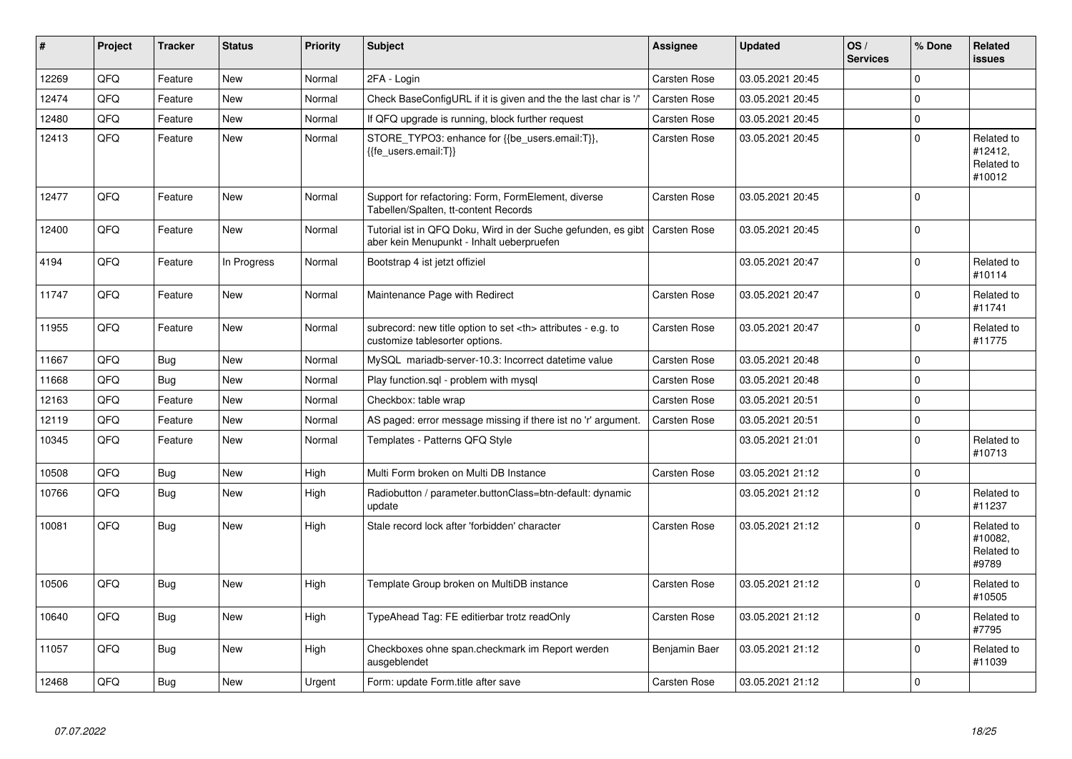| #     | Project | <b>Tracker</b> | <b>Status</b> | <b>Priority</b> | <b>Subject</b>                                                                                             | Assignee                                               | <b>Updated</b>   | OS/<br><b>Services</b> | % Done      | Related<br><b>issues</b>                      |                      |
|-------|---------|----------------|---------------|-----------------|------------------------------------------------------------------------------------------------------------|--------------------------------------------------------|------------------|------------------------|-------------|-----------------------------------------------|----------------------|
| 12269 | QFQ     | Feature        | New           | Normal          | 2FA - Login                                                                                                | Carsten Rose                                           | 03.05.2021 20:45 |                        | $\Omega$    |                                               |                      |
| 12474 | QFQ     | Feature        | <b>New</b>    | Normal          | Check BaseConfigURL if it is given and the the last char is '/'                                            | Carsten Rose                                           | 03.05.2021 20:45 |                        | $\Omega$    |                                               |                      |
| 12480 | QFQ     | Feature        | New           | Normal          | If QFQ upgrade is running, block further request                                                           | Carsten Rose                                           | 03.05.2021 20:45 |                        | 0           |                                               |                      |
| 12413 | QFQ     | Feature        | <b>New</b>    | Normal          | STORE TYPO3: enhance for {{be users.email:T}},<br>{{fe users.email:T}}                                     | Carsten Rose                                           | 03.05.2021 20:45 |                        | $\Omega$    | Related to<br>#12412,<br>Related to<br>#10012 |                      |
| 12477 | QFQ     | Feature        | New           | Normal          | Support for refactoring: Form, FormElement, diverse<br>Tabellen/Spalten, tt-content Records                | Carsten Rose                                           | 03.05.2021 20:45 |                        | $\mathbf 0$ |                                               |                      |
| 12400 | QFQ     | Feature        | <b>New</b>    | Normal          | Tutorial ist in QFQ Doku, Wird in der Suche gefunden, es gibt<br>aber kein Menupunkt - Inhalt ueberpruefen | <b>Carsten Rose</b>                                    | 03.05.2021 20:45 |                        | $\Omega$    |                                               |                      |
| 4194  | QFQ     | Feature        | In Progress   | Normal          | Bootstrap 4 ist jetzt offiziel                                                                             |                                                        | 03.05.2021 20:47 |                        | $\Omega$    | Related to<br>#10114                          |                      |
| 11747 | QFQ     | Feature        | New           | Normal          | Maintenance Page with Redirect                                                                             | Carsten Rose                                           | 03.05.2021 20:47 |                        | 0           | Related to<br>#11741                          |                      |
| 11955 | QFQ     | Feature        | <b>New</b>    | Normal          | subrecord: new title option to set <th> attributes - e.g. to<br/>customize tablesorter options.</th>       | attributes - e.g. to<br>customize tablesorter options. | Carsten Rose     | 03.05.2021 20:47       |             | $\Omega$                                      | Related to<br>#11775 |
| 11667 | QFQ     | Bug            | <b>New</b>    | Normal          | MySQL mariadb-server-10.3: Incorrect datetime value                                                        | Carsten Rose                                           | 03.05.2021 20:48 |                        | $\Omega$    |                                               |                      |
| 11668 | QFQ     | Bug            | <b>New</b>    | Normal          | Play function.sql - problem with mysql                                                                     | Carsten Rose                                           | 03.05.2021 20:48 |                        | $\Omega$    |                                               |                      |
| 12163 | QFQ     | Feature        | <b>New</b>    | Normal          | Checkbox: table wrap                                                                                       | Carsten Rose                                           | 03.05.2021 20:51 |                        | $\Omega$    |                                               |                      |
| 12119 | QFQ     | Feature        | <b>New</b>    | Normal          | AS paged: error message missing if there ist no 'r' argument.                                              | <b>Carsten Rose</b>                                    | 03.05.2021 20:51 |                        | $\Omega$    |                                               |                      |
| 10345 | QFQ     | Feature        | New           | Normal          | Templates - Patterns QFQ Style                                                                             |                                                        | 03.05.2021 21:01 |                        | $\Omega$    | Related to<br>#10713                          |                      |
| 10508 | QFQ     | Bug            | <b>New</b>    | High            | Multi Form broken on Multi DB Instance                                                                     | <b>Carsten Rose</b>                                    | 03.05.2021 21:12 |                        | $\Omega$    |                                               |                      |
| 10766 | QFQ     | <b>Bug</b>     | <b>New</b>    | High            | Radiobutton / parameter.buttonClass=btn-default: dynamic<br>update                                         |                                                        | 03.05.2021 21:12 |                        | $\Omega$    | Related to<br>#11237                          |                      |
| 10081 | QFQ     | Bug            | New           | High            | Stale record lock after 'forbidden' character                                                              | <b>Carsten Rose</b>                                    | 03.05.2021 21:12 |                        | $\Omega$    | Related to<br>#10082,<br>Related to<br>#9789  |                      |
| 10506 | QFQ     | Bug            | New           | High            | Template Group broken on MultiDB instance                                                                  | <b>Carsten Rose</b>                                    | 03.05.2021 21:12 |                        | $\mathbf 0$ | Related to<br>#10505                          |                      |
| 10640 | QFQ     | Bug            | New           | High            | TypeAhead Tag: FE editierbar trotz readOnly                                                                | <b>Carsten Rose</b>                                    | 03.05.2021 21:12 |                        | $\Omega$    | Related to<br>#7795                           |                      |
| 11057 | QFQ     | Bug            | New           | High            | Checkboxes ohne span.checkmark im Report werden<br>ausgeblendet                                            | Benjamin Baer                                          | 03.05.2021 21:12 |                        | $\Omega$    | Related to<br>#11039                          |                      |
| 12468 | QFQ     | Bug            | New           | Urgent          | Form: update Form.title after save                                                                         | Carsten Rose                                           | 03.05.2021 21:12 |                        | $\Omega$    |                                               |                      |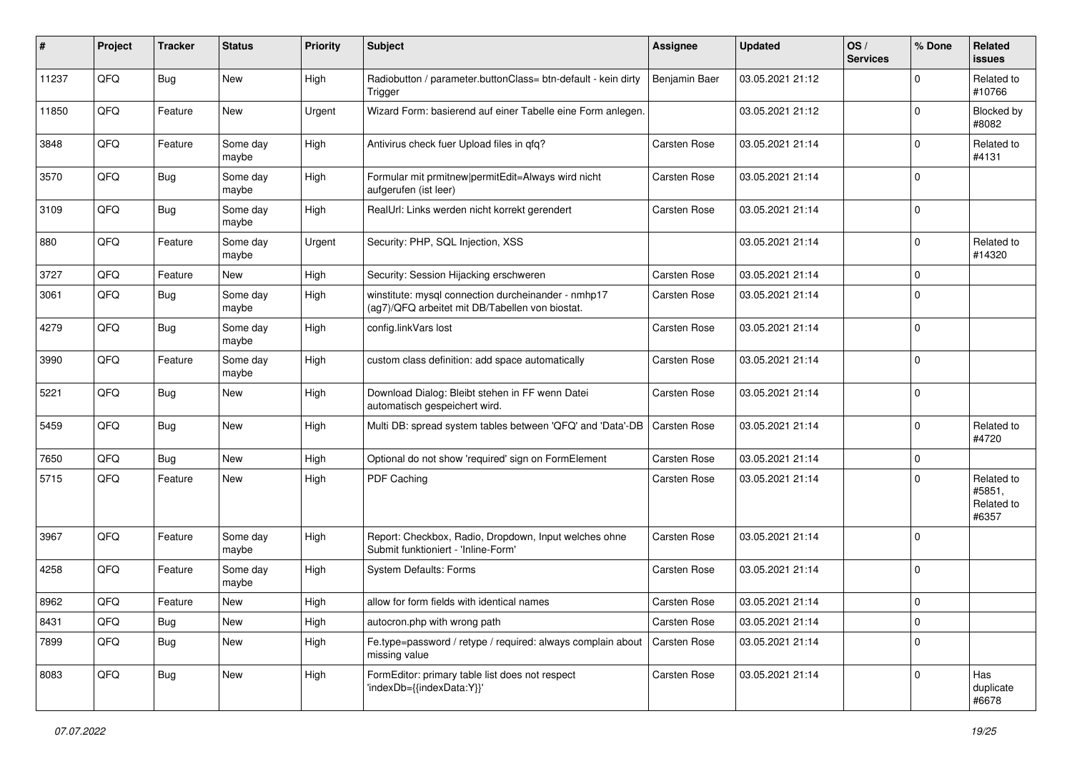| $\sharp$ | Project | <b>Tracker</b> | <b>Status</b>     | <b>Priority</b> | <b>Subject</b>                                                                                         | Assignee            | <b>Updated</b>   | OS/<br><b>Services</b> | % Done         | Related<br>issues                           |
|----------|---------|----------------|-------------------|-----------------|--------------------------------------------------------------------------------------------------------|---------------------|------------------|------------------------|----------------|---------------------------------------------|
| 11237    | QFQ     | <b>Bug</b>     | New               | High            | Radiobutton / parameter.buttonClass= btn-default - kein dirty<br>Trigger                               | Benjamin Baer       | 03.05.2021 21:12 |                        | $\Omega$       | Related to<br>#10766                        |
| 11850    | QFQ     | Feature        | New               | Urgent          | Wizard Form: basierend auf einer Tabelle eine Form anlegen.                                            |                     | 03.05.2021 21:12 |                        | $\Omega$       | Blocked by<br>#8082                         |
| 3848     | QFQ     | Feature        | Some day<br>maybe | High            | Antivirus check fuer Upload files in qfq?                                                              | Carsten Rose        | 03.05.2021 21:14 |                        | $\Omega$       | Related to<br>#4131                         |
| 3570     | QFQ     | <b>Bug</b>     | Some day<br>maybe | High            | Formular mit prmitnew   permitEdit=Always wird nicht<br>aufgerufen (ist leer)                          | <b>Carsten Rose</b> | 03.05.2021 21:14 |                        | $\mathbf 0$    |                                             |
| 3109     | QFQ     | Bug            | Some day<br>maybe | High            | RealUrl: Links werden nicht korrekt gerendert                                                          | <b>Carsten Rose</b> | 03.05.2021 21:14 |                        | $\mathbf 0$    |                                             |
| 880      | QFQ     | Feature        | Some day<br>maybe | Urgent          | Security: PHP, SQL Injection, XSS                                                                      |                     | 03.05.2021 21:14 |                        | $\Omega$       | Related to<br>#14320                        |
| 3727     | QFQ     | Feature        | New               | High            | Security: Session Hijacking erschweren                                                                 | Carsten Rose        | 03.05.2021 21:14 |                        | $\Omega$       |                                             |
| 3061     | QFQ     | Bug            | Some day<br>maybe | High            | winstitute: mysql connection durcheinander - nmhp17<br>(ag7)/QFQ arbeitet mit DB/Tabellen von biostat. | <b>Carsten Rose</b> | 03.05.2021 21:14 |                        | $\mathbf 0$    |                                             |
| 4279     | QFQ     | Bug            | Some day<br>maybe | High            | config.linkVars lost                                                                                   | <b>Carsten Rose</b> | 03.05.2021 21:14 |                        | $\Omega$       |                                             |
| 3990     | QFQ     | Feature        | Some day<br>maybe | High            | custom class definition: add space automatically                                                       | <b>Carsten Rose</b> | 03.05.2021 21:14 |                        | $\mathbf 0$    |                                             |
| 5221     | QFQ     | <b>Bug</b>     | New               | High            | Download Dialog: Bleibt stehen in FF wenn Datei<br>automatisch gespeichert wird.                       | Carsten Rose        | 03.05.2021 21:14 |                        | $\overline{0}$ |                                             |
| 5459     | QFQ     | <b>Bug</b>     | New               | High            | Multi DB: spread system tables between 'QFQ' and 'Data'-DB                                             | <b>Carsten Rose</b> | 03.05.2021 21:14 |                        | $\Omega$       | Related to<br>#4720                         |
| 7650     | QFQ     | <b>Bug</b>     | New               | High            | Optional do not show 'required' sign on FormElement                                                    | Carsten Rose        | 03.05.2021 21:14 |                        | $\Omega$       |                                             |
| 5715     | QFQ     | Feature        | New               | High            | PDF Caching                                                                                            | <b>Carsten Rose</b> | 03.05.2021 21:14 |                        | $\Omega$       | Related to<br>#5851,<br>Related to<br>#6357 |
| 3967     | QFQ     | Feature        | Some day<br>maybe | High            | Report: Checkbox, Radio, Dropdown, Input welches ohne<br>Submit funktioniert - 'Inline-Form'           | Carsten Rose        | 03.05.2021 21:14 |                        | $\Omega$       |                                             |
| 4258     | QFQ     | Feature        | Some day<br>maybe | High            | <b>System Defaults: Forms</b>                                                                          | Carsten Rose        | 03.05.2021 21:14 |                        | 0              |                                             |
| 8962     | QFQ     | Feature        | New               | High            | allow for form fields with identical names                                                             | <b>Carsten Rose</b> | 03.05.2021 21:14 |                        | l 0            |                                             |
| 8431     | QFQ     | <b>Bug</b>     | New               | High            | autocron.php with wrong path                                                                           | Carsten Rose        | 03.05.2021 21:14 |                        | $\mathbf 0$    |                                             |
| 7899     | QFQ     | <b>Bug</b>     | New               | High            | Fe.type=password / retype / required: always complain about<br>missing value                           | Carsten Rose        | 03.05.2021 21:14 |                        | $\Omega$       |                                             |
| 8083     | QFQ     | <b>Bug</b>     | New               | High            | FormEditor: primary table list does not respect<br>'indexDb={{indexData:Y}}'                           | Carsten Rose        | 03.05.2021 21:14 |                        | $\mathbf 0$    | Has<br>duplicate<br>#6678                   |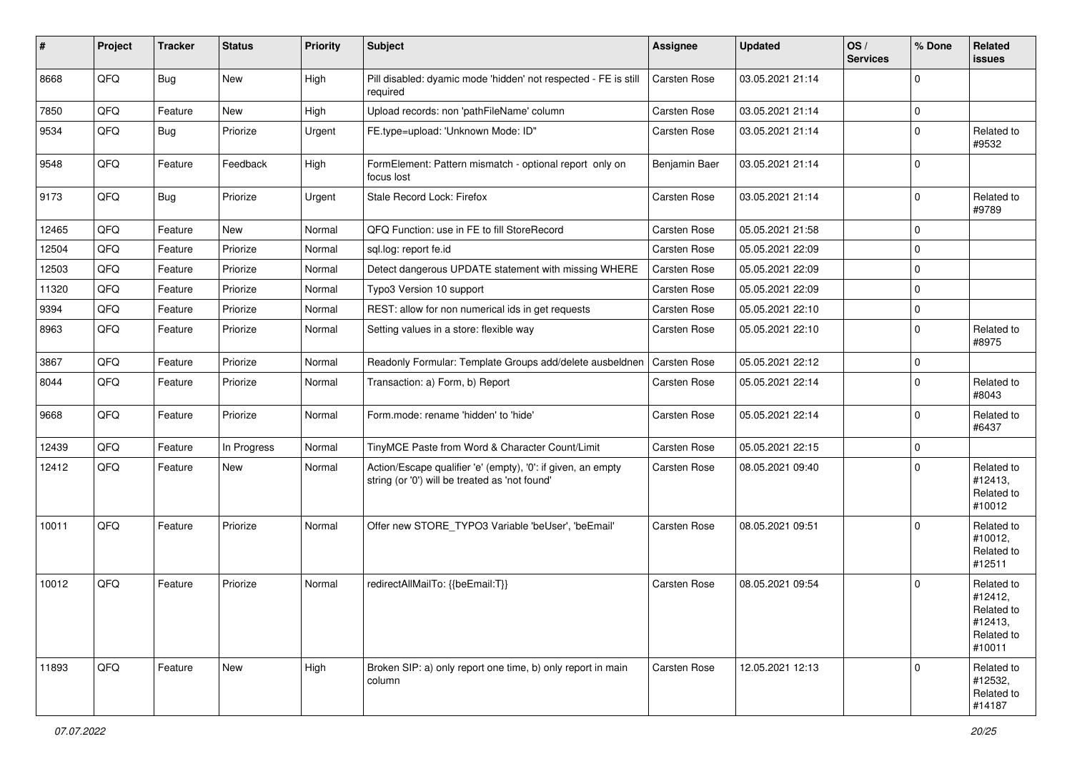| #     | Project | <b>Tracker</b> | <b>Status</b> | Priority | <b>Subject</b>                                                                                                 | <b>Assignee</b>     | <b>Updated</b>   | OS/<br><b>Services</b> | % Done      | Related<br>issues                                                      |
|-------|---------|----------------|---------------|----------|----------------------------------------------------------------------------------------------------------------|---------------------|------------------|------------------------|-------------|------------------------------------------------------------------------|
| 8668  | QFQ     | Bug            | <b>New</b>    | High     | Pill disabled: dyamic mode 'hidden' not respected - FE is still<br>required                                    | Carsten Rose        | 03.05.2021 21:14 |                        | $\Omega$    |                                                                        |
| 7850  | QFQ     | Feature        | New           | High     | Upload records: non 'pathFileName' column                                                                      | Carsten Rose        | 03.05.2021 21:14 |                        | $\mathbf 0$ |                                                                        |
| 9534  | QFQ     | Bug            | Priorize      | Urgent   | FE.type=upload: 'Unknown Mode: ID"                                                                             | Carsten Rose        | 03.05.2021 21:14 |                        | $\mathbf 0$ | Related to<br>#9532                                                    |
| 9548  | QFQ     | Feature        | Feedback      | High     | FormElement: Pattern mismatch - optional report only on<br>focus lost                                          | Benjamin Baer       | 03.05.2021 21:14 |                        | $\mathbf 0$ |                                                                        |
| 9173  | QFQ     | Bug            | Priorize      | Urgent   | Stale Record Lock: Firefox                                                                                     | Carsten Rose        | 03.05.2021 21:14 |                        | $\Omega$    | Related to<br>#9789                                                    |
| 12465 | QFQ     | Feature        | New           | Normal   | QFQ Function: use in FE to fill StoreRecord                                                                    | Carsten Rose        | 05.05.2021 21:58 |                        | $\mathbf 0$ |                                                                        |
| 12504 | QFQ     | Feature        | Priorize      | Normal   | sql.log: report fe.id                                                                                          | Carsten Rose        | 05.05.2021 22:09 |                        | $\mathbf 0$ |                                                                        |
| 12503 | QFQ     | Feature        | Priorize      | Normal   | Detect dangerous UPDATE statement with missing WHERE                                                           | Carsten Rose        | 05.05.2021 22:09 |                        | $\mathbf 0$ |                                                                        |
| 11320 | QFQ     | Feature        | Priorize      | Normal   | Typo3 Version 10 support                                                                                       | <b>Carsten Rose</b> | 05.05.2021 22:09 |                        | $\mathbf 0$ |                                                                        |
| 9394  | QFQ     | Feature        | Priorize      | Normal   | REST: allow for non numerical ids in get requests                                                              | Carsten Rose        | 05.05.2021 22:10 |                        | $\mathbf 0$ |                                                                        |
| 8963  | QFQ     | Feature        | Priorize      | Normal   | Setting values in a store: flexible way                                                                        | Carsten Rose        | 05.05.2021 22:10 |                        | $\mathbf 0$ | Related to<br>#8975                                                    |
| 3867  | QFQ     | Feature        | Priorize      | Normal   | Readonly Formular: Template Groups add/delete ausbeldnen                                                       | Carsten Rose        | 05.05.2021 22:12 |                        | $\mathbf 0$ |                                                                        |
| 8044  | QFQ     | Feature        | Priorize      | Normal   | Transaction: a) Form, b) Report                                                                                | Carsten Rose        | 05.05.2021 22:14 |                        | $\mathbf 0$ | Related to<br>#8043                                                    |
| 9668  | QFQ     | Feature        | Priorize      | Normal   | Form.mode: rename 'hidden' to 'hide'                                                                           | Carsten Rose        | 05.05.2021 22:14 |                        | $\mathbf 0$ | Related to<br>#6437                                                    |
| 12439 | QFQ     | Feature        | In Progress   | Normal   | TinyMCE Paste from Word & Character Count/Limit                                                                | Carsten Rose        | 05.05.2021 22:15 |                        | $\mathbf 0$ |                                                                        |
| 12412 | QFQ     | Feature        | <b>New</b>    | Normal   | Action/Escape qualifier 'e' (empty), '0': if given, an empty<br>string (or '0') will be treated as 'not found' | Carsten Rose        | 08.05.2021 09:40 |                        | $\Omega$    | Related to<br>#12413,<br>Related to<br>#10012                          |
| 10011 | QFQ     | Feature        | Priorize      | Normal   | Offer new STORE_TYPO3 Variable 'beUser', 'beEmail'                                                             | Carsten Rose        | 08.05.2021 09:51 |                        | $\Omega$    | Related to<br>#10012,<br>Related to<br>#12511                          |
| 10012 | QFQ     | Feature        | Priorize      | Normal   | redirectAllMailTo: {{beEmail:T}}                                                                               | Carsten Rose        | 08.05.2021 09:54 |                        | $\Omega$    | Related to<br>#12412,<br>Related to<br>#12413,<br>Related to<br>#10011 |
| 11893 | QFQ     | Feature        | New           | High     | Broken SIP: a) only report one time, b) only report in main<br>column                                          | Carsten Rose        | 12.05.2021 12:13 |                        | $\mathbf 0$ | Related to<br>#12532,<br>Related to<br>#14187                          |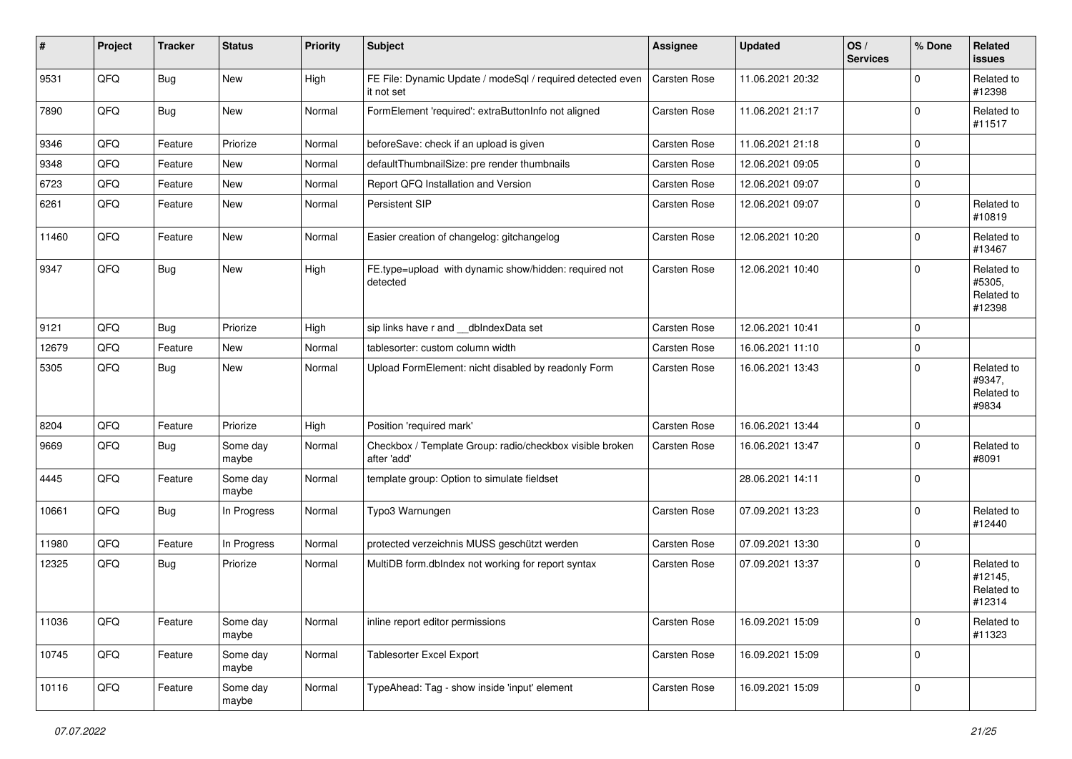| #     | Project | <b>Tracker</b> | <b>Status</b>     | <b>Priority</b> | <b>Subject</b>                                                           | <b>Assignee</b> | <b>Updated</b>   | OS/<br><b>Services</b> | % Done      | Related<br>issues                             |
|-------|---------|----------------|-------------------|-----------------|--------------------------------------------------------------------------|-----------------|------------------|------------------------|-------------|-----------------------------------------------|
| 9531  | QFQ     | Bug            | <b>New</b>        | High            | FE File: Dynamic Update / modeSql / required detected even<br>it not set | Carsten Rose    | 11.06.2021 20:32 |                        | 0           | Related to<br>#12398                          |
| 7890  | QFQ     | Bug            | New               | Normal          | FormElement 'required': extraButtonInfo not aligned                      | Carsten Rose    | 11.06.2021 21:17 |                        | $\Omega$    | Related to<br>#11517                          |
| 9346  | QFQ     | Feature        | Priorize          | Normal          | beforeSave: check if an upload is given                                  | Carsten Rose    | 11.06.2021 21:18 |                        | $\mathbf 0$ |                                               |
| 9348  | QFQ     | Feature        | New               | Normal          | defaultThumbnailSize: pre render thumbnails                              | Carsten Rose    | 12.06.2021 09:05 |                        | $\mathbf 0$ |                                               |
| 6723  | QFQ     | Feature        | New               | Normal          | Report QFQ Installation and Version                                      | Carsten Rose    | 12.06.2021 09:07 |                        | $\mathbf 0$ |                                               |
| 6261  | QFQ     | Feature        | <b>New</b>        | Normal          | Persistent SIP                                                           | Carsten Rose    | 12.06.2021 09:07 |                        | $\mathbf 0$ | Related to<br>#10819                          |
| 11460 | QFQ     | Feature        | New               | Normal          | Easier creation of changelog: gitchangelog                               | Carsten Rose    | 12.06.2021 10:20 |                        | $\mathbf 0$ | Related to<br>#13467                          |
| 9347  | QFQ     | Bug            | <b>New</b>        | High            | FE.type=upload with dynamic show/hidden: required not<br>detected        | Carsten Rose    | 12.06.2021 10:40 |                        | $\mathbf 0$ | Related to<br>#5305,<br>Related to<br>#12398  |
| 9121  | QFQ     | Bug            | Priorize          | High            | sip links have r and __dbIndexData set                                   | Carsten Rose    | 12.06.2021 10:41 |                        | $\mathbf 0$ |                                               |
| 12679 | QFQ     | Feature        | <b>New</b>        | Normal          | tablesorter: custom column width                                         | Carsten Rose    | 16.06.2021 11:10 |                        | $\mathbf 0$ |                                               |
| 5305  | QFQ     | Bug            | <b>New</b>        | Normal          | Upload FormElement: nicht disabled by readonly Form                      | Carsten Rose    | 16.06.2021 13:43 |                        | $\Omega$    | Related to<br>#9347,<br>Related to<br>#9834   |
| 8204  | QFQ     | Feature        | Priorize          | High            | Position 'required mark'                                                 | Carsten Rose    | 16.06.2021 13:44 |                        | $\mathbf 0$ |                                               |
| 9669  | QFQ     | Bug            | Some day<br>maybe | Normal          | Checkbox / Template Group: radio/checkbox visible broken<br>after 'add'  | Carsten Rose    | 16.06.2021 13:47 |                        | $\mathbf 0$ | Related to<br>#8091                           |
| 4445  | QFQ     | Feature        | Some day<br>maybe | Normal          | template group: Option to simulate fieldset                              |                 | 28.06.2021 14:11 |                        | $\mathbf 0$ |                                               |
| 10661 | QFQ     | Bug            | In Progress       | Normal          | Typo3 Warnungen                                                          | Carsten Rose    | 07.09.2021 13:23 |                        | $\mathbf 0$ | Related to<br>#12440                          |
| 11980 | QFQ     | Feature        | In Progress       | Normal          | protected verzeichnis MUSS geschützt werden                              | Carsten Rose    | 07.09.2021 13:30 |                        | $\mathbf 0$ |                                               |
| 12325 | QFQ     | <b>Bug</b>     | Priorize          | Normal          | MultiDB form.dblndex not working for report syntax                       | Carsten Rose    | 07.09.2021 13:37 |                        | $\Omega$    | Related to<br>#12145,<br>Related to<br>#12314 |
| 11036 | QFQ     | Feature        | Some day<br>maybe | Normal          | inline report editor permissions                                         | Carsten Rose    | 16.09.2021 15:09 |                        | 0           | Related to<br>#11323                          |
| 10745 | QFQ     | Feature        | Some day<br>maybe | Normal          | Tablesorter Excel Export                                                 | Carsten Rose    | 16.09.2021 15:09 |                        | $\mathbf 0$ |                                               |
| 10116 | QFQ     | Feature        | Some day<br>maybe | Normal          | TypeAhead: Tag - show inside 'input' element                             | Carsten Rose    | 16.09.2021 15:09 |                        | $\mathbf 0$ |                                               |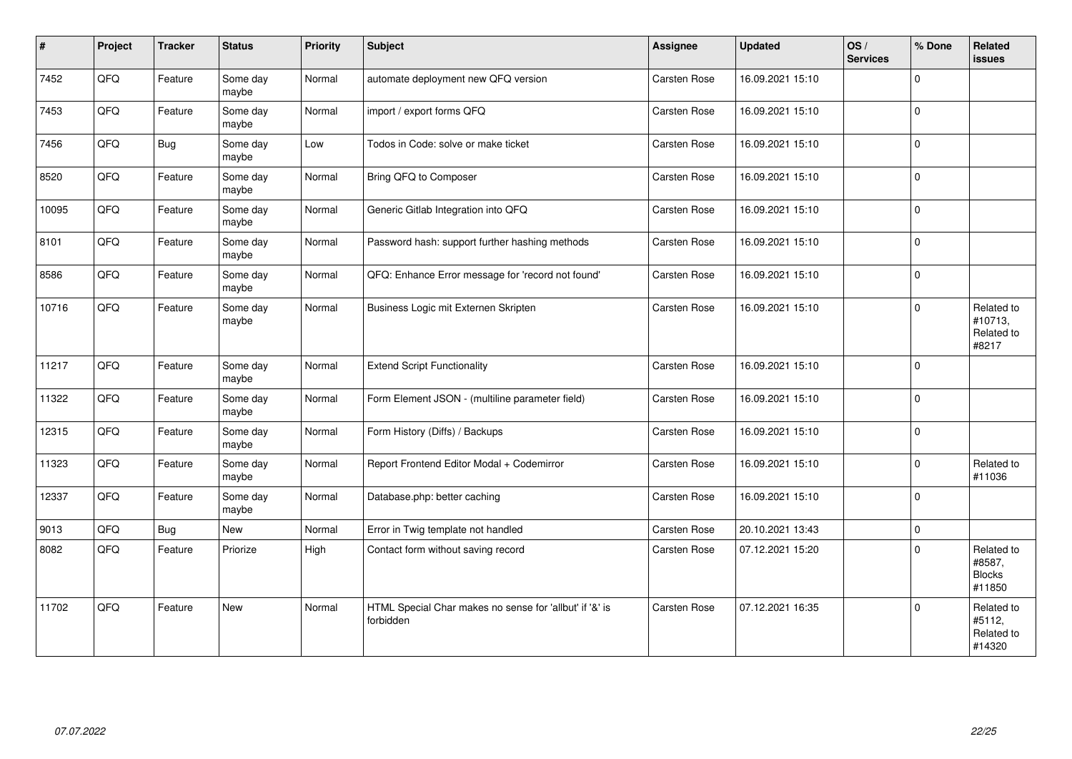| #     | Project    | <b>Tracker</b> | <b>Status</b>     | <b>Priority</b> | <b>Subject</b>                                                       | Assignee     | <b>Updated</b>   | OS/<br><b>Services</b> | % Done         | Related<br><b>issues</b>                        |
|-------|------------|----------------|-------------------|-----------------|----------------------------------------------------------------------|--------------|------------------|------------------------|----------------|-------------------------------------------------|
| 7452  | QFQ        | Feature        | Some day<br>maybe | Normal          | automate deployment new QFQ version                                  | Carsten Rose | 16.09.2021 15:10 |                        | $\Omega$       |                                                 |
| 7453  | QFQ        | Feature        | Some day<br>maybe | Normal          | import / export forms QFQ                                            | Carsten Rose | 16.09.2021 15:10 |                        | $\Omega$       |                                                 |
| 7456  | QFQ        | Bug            | Some day<br>maybe | Low             | Todos in Code: solve or make ticket                                  | Carsten Rose | 16.09.2021 15:10 |                        | $\Omega$       |                                                 |
| 8520  | QFQ        | Feature        | Some day<br>maybe | Normal          | Bring QFQ to Composer                                                | Carsten Rose | 16.09.2021 15:10 |                        | $\Omega$       |                                                 |
| 10095 | QFQ        | Feature        | Some day<br>maybe | Normal          | Generic Gitlab Integration into QFQ                                  | Carsten Rose | 16.09.2021 15:10 |                        | $\Omega$       |                                                 |
| 8101  | QFQ        | Feature        | Some day<br>maybe | Normal          | Password hash: support further hashing methods                       | Carsten Rose | 16.09.2021 15:10 |                        | $\mathbf 0$    |                                                 |
| 8586  | QFQ        | Feature        | Some day<br>maybe | Normal          | QFQ: Enhance Error message for 'record not found'                    | Carsten Rose | 16.09.2021 15:10 |                        | $\Omega$       |                                                 |
| 10716 | QFQ        | Feature        | Some day<br>maybe | Normal          | Business Logic mit Externen Skripten                                 | Carsten Rose | 16.09.2021 15:10 |                        | $\Omega$       | Related to<br>#10713,<br>Related to<br>#8217    |
| 11217 | QFQ        | Feature        | Some day<br>maybe | Normal          | <b>Extend Script Functionality</b>                                   | Carsten Rose | 16.09.2021 15:10 |                        | 0              |                                                 |
| 11322 | QFQ        | Feature        | Some day<br>maybe | Normal          | Form Element JSON - (multiline parameter field)                      | Carsten Rose | 16.09.2021 15:10 |                        | 0              |                                                 |
| 12315 | QFQ        | Feature        | Some day<br>maybe | Normal          | Form History (Diffs) / Backups                                       | Carsten Rose | 16.09.2021 15:10 |                        | $\overline{0}$ |                                                 |
| 11323 | QFQ        | Feature        | Some day<br>maybe | Normal          | Report Frontend Editor Modal + Codemirror                            | Carsten Rose | 16.09.2021 15:10 |                        | $\Omega$       | Related to<br>#11036                            |
| 12337 | QFQ        | Feature        | Some day<br>maybe | Normal          | Database.php: better caching                                         | Carsten Rose | 16.09.2021 15:10 |                        | 0              |                                                 |
| 9013  | QFQ        | <b>Bug</b>     | <b>New</b>        | Normal          | Error in Twig template not handled                                   | Carsten Rose | 20.10.2021 13:43 |                        | $\mathbf 0$    |                                                 |
| 8082  | QFQ        | Feature        | Priorize          | High            | Contact form without saving record                                   | Carsten Rose | 07.12.2021 15:20 |                        | $\Omega$       | Related to<br>#8587,<br><b>Blocks</b><br>#11850 |
| 11702 | <b>OFO</b> | Feature        | New               | Normal          | HTML Special Char makes no sense for 'allbut' if '&' is<br>forbidden | Carsten Rose | 07.12.2021 16:35 |                        | $\Omega$       | Related to<br>#5112,<br>Related to<br>#14320    |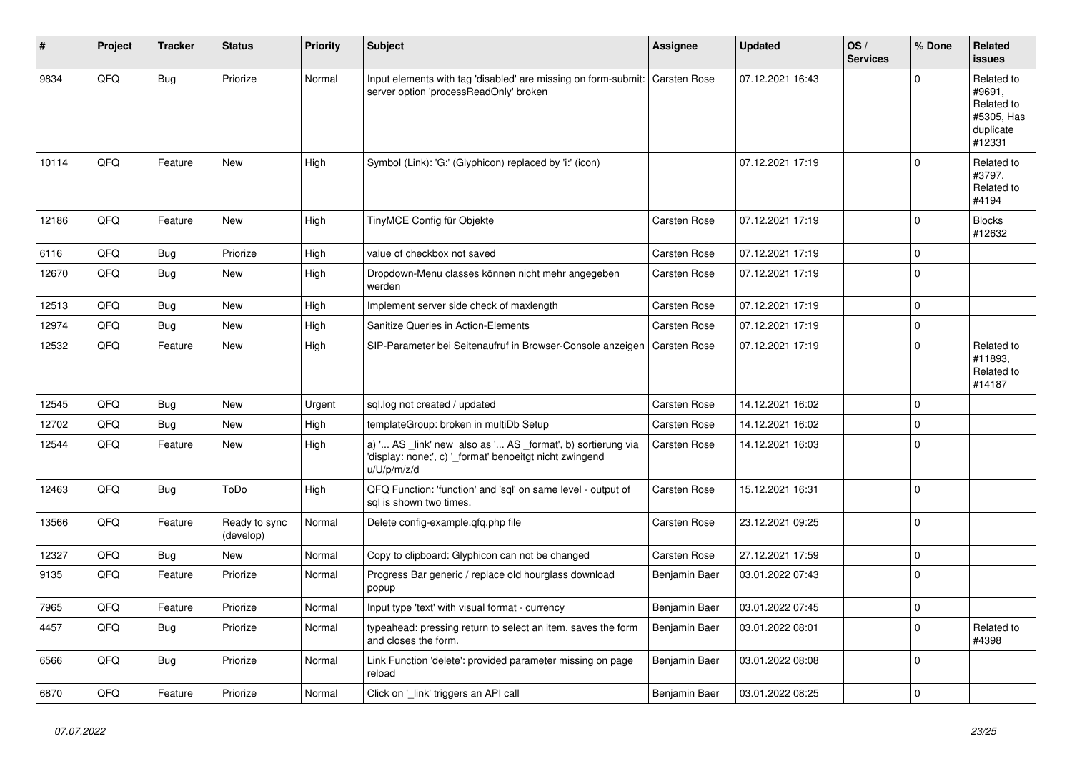| #     | Project | <b>Tracker</b> | <b>Status</b>              | <b>Priority</b> | <b>Subject</b>                                                                                                                        | <b>Assignee</b>     | <b>Updated</b>   | OS/<br><b>Services</b> | % Done      | Related<br><b>issues</b>                                                |
|-------|---------|----------------|----------------------------|-----------------|---------------------------------------------------------------------------------------------------------------------------------------|---------------------|------------------|------------------------|-------------|-------------------------------------------------------------------------|
| 9834  | QFQ     | Bug            | Priorize                   | Normal          | Input elements with tag 'disabled' are missing on form-submit:<br>server option 'processReadOnly' broken                              | <b>Carsten Rose</b> | 07.12.2021 16:43 |                        | $\Omega$    | Related to<br>#9691,<br>Related to<br>#5305, Has<br>duplicate<br>#12331 |
| 10114 | QFQ     | Feature        | <b>New</b>                 | High            | Symbol (Link): 'G:' (Glyphicon) replaced by 'i:' (icon)                                                                               |                     | 07.12.2021 17:19 |                        | $\Omega$    | Related to<br>#3797,<br>Related to<br>#4194                             |
| 12186 | QFQ     | Feature        | <b>New</b>                 | High            | TinyMCE Config für Objekte                                                                                                            | Carsten Rose        | 07.12.2021 17:19 |                        | $\Omega$    | <b>Blocks</b><br>#12632                                                 |
| 6116  | QFQ     | Bug            | Priorize                   | High            | value of checkbox not saved                                                                                                           | Carsten Rose        | 07.12.2021 17:19 |                        | $\mathbf 0$ |                                                                         |
| 12670 | QFQ     | Bug            | New                        | High            | Dropdown-Menu classes können nicht mehr angegeben<br>werden                                                                           | Carsten Rose        | 07.12.2021 17:19 |                        | $\Omega$    |                                                                         |
| 12513 | QFQ     | Bug            | New                        | High            | Implement server side check of maxlength                                                                                              | <b>Carsten Rose</b> | 07.12.2021 17:19 |                        | $\Omega$    |                                                                         |
| 12974 | QFQ     | <b>Bug</b>     | New                        | High            | Sanitize Queries in Action-Elements                                                                                                   | Carsten Rose        | 07.12.2021 17:19 |                        | $\mathbf 0$ |                                                                         |
| 12532 | QFQ     | Feature        | New                        | High            | SIP-Parameter bei Seitenaufruf in Browser-Console anzeigen                                                                            | <b>Carsten Rose</b> | 07.12.2021 17:19 |                        | $\Omega$    | Related to<br>#11893,<br>Related to<br>#14187                           |
| 12545 | QFQ     | <b>Bug</b>     | <b>New</b>                 | Urgent          | sql.log not created / updated                                                                                                         | Carsten Rose        | 14.12.2021 16:02 |                        | 0           |                                                                         |
| 12702 | QFQ     | Bug            | <b>New</b>                 | High            | templateGroup: broken in multiDb Setup                                                                                                | Carsten Rose        | 14.12.2021 16:02 |                        | $\Omega$    |                                                                         |
| 12544 | QFQ     | Feature        | New                        | High            | a) ' AS _link' new also as ' AS _format', b) sortierung via<br>'display: none;', c) '_format' benoeitgt nicht zwingend<br>u/U/p/m/z/d | Carsten Rose        | 14.12.2021 16:03 |                        | $\mathbf 0$ |                                                                         |
| 12463 | QFQ     | Bug            | ToDo                       | High            | QFQ Function: 'function' and 'sql' on same level - output of<br>sql is shown two times.                                               | Carsten Rose        | 15.12.2021 16:31 |                        | $\Omega$    |                                                                         |
| 13566 | QFQ     | Feature        | Ready to sync<br>(develop) | Normal          | Delete config-example.qfq.php file                                                                                                    | Carsten Rose        | 23.12.2021 09:25 |                        | $\mathbf 0$ |                                                                         |
| 12327 | QFQ     | Bug            | <b>New</b>                 | Normal          | Copy to clipboard: Glyphicon can not be changed                                                                                       | Carsten Rose        | 27.12.2021 17:59 |                        | $\mathbf 0$ |                                                                         |
| 9135  | QFQ     | Feature        | Priorize                   | Normal          | Progress Bar generic / replace old hourglass download<br>popup                                                                        | Benjamin Baer       | 03.01.2022 07:43 |                        | $\Omega$    |                                                                         |
| 7965  | QFQ     | Feature        | Priorize                   | Normal          | Input type 'text' with visual format - currency                                                                                       | Benjamin Baer       | 03.01.2022 07:45 |                        | $\pmb{0}$   |                                                                         |
| 4457  | QFQ     | Bug            | Priorize                   | Normal          | typeahead: pressing return to select an item, saves the form<br>and closes the form.                                                  | Benjamin Baer       | 03.01.2022 08:01 |                        | $\mathbf 0$ | Related to<br>#4398                                                     |
| 6566  | QFQ     | Bug            | Priorize                   | Normal          | Link Function 'delete': provided parameter missing on page<br>reload                                                                  | Benjamin Baer       | 03.01.2022 08:08 |                        | $\mathbf 0$ |                                                                         |
| 6870  | QFQ     | Feature        | Priorize                   | Normal          | Click on '_link' triggers an API call                                                                                                 | Benjamin Baer       | 03.01.2022 08:25 |                        | 0           |                                                                         |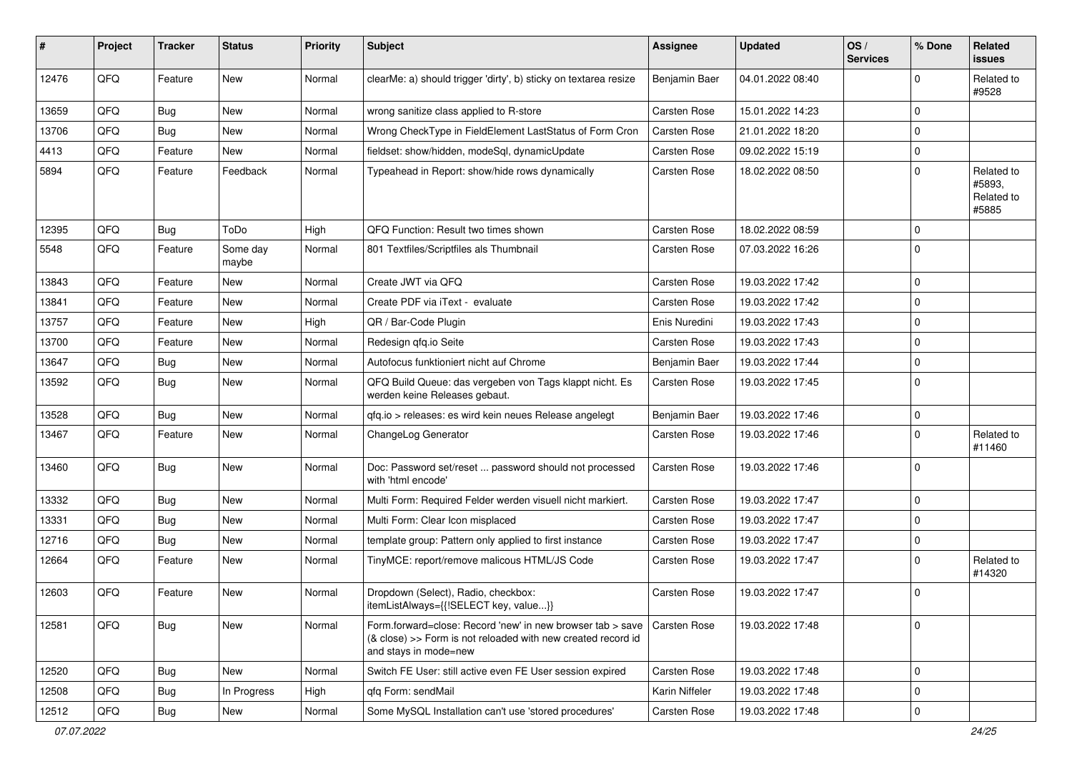| #     | Project | <b>Tracker</b> | <b>Status</b>     | <b>Priority</b> | Subject                                                                                                                                             | <b>Assignee</b> | <b>Updated</b>   | OS/<br><b>Services</b> | % Done      | Related<br>issues                           |
|-------|---------|----------------|-------------------|-----------------|-----------------------------------------------------------------------------------------------------------------------------------------------------|-----------------|------------------|------------------------|-------------|---------------------------------------------|
| 12476 | QFQ     | Feature        | <b>New</b>        | Normal          | clearMe: a) should trigger 'dirty', b) sticky on textarea resize                                                                                    | Benjamin Baer   | 04.01.2022 08:40 |                        | 0           | Related to<br>#9528                         |
| 13659 | QFQ     | <b>Bug</b>     | New               | Normal          | wrong sanitize class applied to R-store                                                                                                             | Carsten Rose    | 15.01.2022 14:23 |                        | $\mathbf 0$ |                                             |
| 13706 | QFQ     | Bug            | <b>New</b>        | Normal          | Wrong CheckType in FieldElement LastStatus of Form Cron                                                                                             | Carsten Rose    | 21.01.2022 18:20 |                        | $\mathbf 0$ |                                             |
| 4413  | QFQ     | Feature        | New               | Normal          | fieldset: show/hidden, modeSql, dynamicUpdate                                                                                                       | Carsten Rose    | 09.02.2022 15:19 |                        | $\mathbf 0$ |                                             |
| 5894  | QFQ     | Feature        | Feedback          | Normal          | Typeahead in Report: show/hide rows dynamically                                                                                                     | Carsten Rose    | 18.02.2022 08:50 |                        | $\Omega$    | Related to<br>#5893,<br>Related to<br>#5885 |
| 12395 | QFQ     | Bug            | ToDo              | High            | QFQ Function: Result two times shown                                                                                                                | Carsten Rose    | 18.02.2022 08:59 |                        | $\Omega$    |                                             |
| 5548  | QFQ     | Feature        | Some day<br>maybe | Normal          | 801 Textfiles/Scriptfiles als Thumbnail                                                                                                             | Carsten Rose    | 07.03.2022 16:26 |                        | $\Omega$    |                                             |
| 13843 | QFQ     | Feature        | New               | Normal          | Create JWT via QFQ                                                                                                                                  | Carsten Rose    | 19.03.2022 17:42 |                        | $\mathbf 0$ |                                             |
| 13841 | QFQ     | Feature        | New               | Normal          | Create PDF via iText - evaluate                                                                                                                     | Carsten Rose    | 19.03.2022 17:42 |                        | $\mathbf 0$ |                                             |
| 13757 | QFQ     | Feature        | <b>New</b>        | High            | QR / Bar-Code Plugin                                                                                                                                | Enis Nuredini   | 19.03.2022 17:43 |                        | $\Omega$    |                                             |
| 13700 | QFQ     | Feature        | New               | Normal          | Redesign gfg.io Seite                                                                                                                               | Carsten Rose    | 19.03.2022 17:43 |                        | $\mathbf 0$ |                                             |
| 13647 | QFQ     | <b>Bug</b>     | <b>New</b>        | Normal          | Autofocus funktioniert nicht auf Chrome                                                                                                             | Benjamin Baer   | 19.03.2022 17:44 |                        | $\mathbf 0$ |                                             |
| 13592 | QFQ     | Bug            | <b>New</b>        | Normal          | QFQ Build Queue: das vergeben von Tags klappt nicht. Es<br>werden keine Releases gebaut.                                                            | Carsten Rose    | 19.03.2022 17:45 |                        | $\Omega$    |                                             |
| 13528 | QFQ     | Bug            | <b>New</b>        | Normal          | qfq.io > releases: es wird kein neues Release angelegt                                                                                              | Benjamin Baer   | 19.03.2022 17:46 |                        | $\mathbf 0$ |                                             |
| 13467 | QFQ     | Feature        | <b>New</b>        | Normal          | ChangeLog Generator                                                                                                                                 | Carsten Rose    | 19.03.2022 17:46 |                        | $\Omega$    | Related to<br>#11460                        |
| 13460 | QFQ     | Bug            | New               | Normal          | Doc: Password set/reset  password should not processed<br>with 'html encode'                                                                        | Carsten Rose    | 19.03.2022 17:46 |                        | $\Omega$    |                                             |
| 13332 | QFQ     | Bug            | <b>New</b>        | Normal          | Multi Form: Required Felder werden visuell nicht markiert.                                                                                          | Carsten Rose    | 19.03.2022 17:47 |                        | $\mathbf 0$ |                                             |
| 13331 | QFQ     | Bug            | <b>New</b>        | Normal          | Multi Form: Clear Icon misplaced                                                                                                                    | Carsten Rose    | 19.03.2022 17:47 |                        | $\mathbf 0$ |                                             |
| 12716 | QFQ     | Bug            | <b>New</b>        | Normal          | template group: Pattern only applied to first instance                                                                                              | Carsten Rose    | 19.03.2022 17:47 |                        | $\mathbf 0$ |                                             |
| 12664 | QFQ     | Feature        | New               | Normal          | TinyMCE: report/remove malicous HTML/JS Code                                                                                                        | Carsten Rose    | 19.03.2022 17:47 |                        | $\Omega$    | Related to<br>#14320                        |
| 12603 | QFQ     | Feature        | New               | Normal          | Dropdown (Select), Radio, checkbox:<br>itemListAlways={{!SELECT key, value}}                                                                        | Carsten Rose    | 19.03.2022 17:47 |                        | $\mathbf 0$ |                                             |
| 12581 | QFQ     | Bug            | New               | Normal          | Form.forward=close: Record 'new' in new browser tab > save<br>(& close) >> Form is not reloaded with new created record id<br>and stays in mode=new | Carsten Rose    | 19.03.2022 17:48 |                        | l O         |                                             |
| 12520 | QFQ     | <b>Bug</b>     | New               | Normal          | Switch FE User: still active even FE User session expired                                                                                           | Carsten Rose    | 19.03.2022 17:48 |                        | $\mathbf 0$ |                                             |
| 12508 | QFQ     | Bug            | In Progress       | High            | qfq Form: sendMail                                                                                                                                  | Karin Niffeler  | 19.03.2022 17:48 |                        | $\mathbf 0$ |                                             |
| 12512 | QFQ     | <b>Bug</b>     | New               | Normal          | Some MySQL Installation can't use 'stored procedures'                                                                                               | Carsten Rose    | 19.03.2022 17:48 |                        | $\mathbf 0$ |                                             |